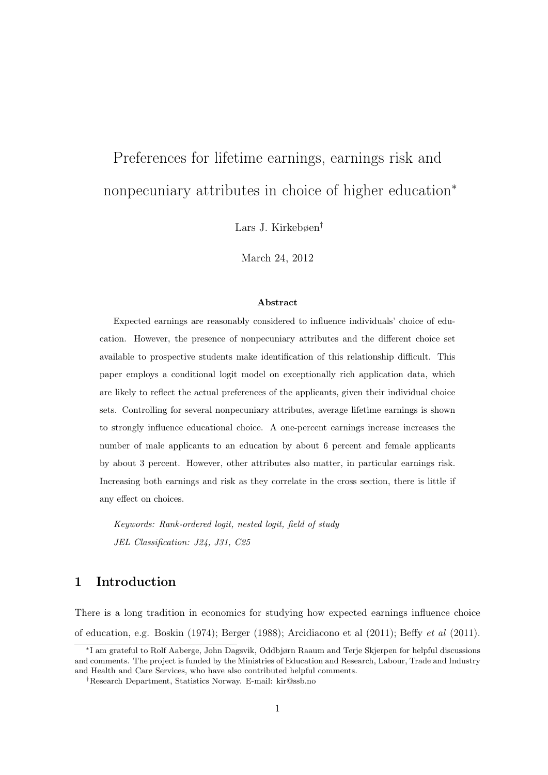# Preferences for lifetime earnings, earnings risk and nonpecuniary attributes in choice of higher education<sup>∗</sup>

Lars J. Kirkebøen†

March 24, 2012

#### Abstract

Expected earnings are reasonably considered to influence individuals' choice of education. However, the presence of nonpecuniary attributes and the different choice set available to prospective students make identification of this relationship difficult. This paper employs a conditional logit model on exceptionally rich application data, which are likely to reflect the actual preferences of the applicants, given their individual choice sets. Controlling for several nonpecuniary attributes, average lifetime earnings is shown to strongly influence educational choice. A one-percent earnings increase increases the number of male applicants to an education by about 6 percent and female applicants by about 3 percent. However, other attributes also matter, in particular earnings risk. Increasing both earnings and risk as they correlate in the cross section, there is little if any effect on choices.

Keywords: Rank-ordered logit, nested logit, field of study JEL Classification: J24, J31, C25

## 1 Introduction

There is a long tradition in economics for studying how expected earnings influence choice of education, e.g. Boskin (1974); Berger (1988); Arcidiacono et al (2011); Beffy et al (2011).

<sup>∗</sup> I am grateful to Rolf Aaberge, John Dagsvik, Oddbjørn Raaum and Terje Skjerpen for helpful discussions and comments. The project is funded by the Ministries of Education and Research, Labour, Trade and Industry and Health and Care Services, who have also contributed helpful comments.

<sup>†</sup>Research Department, Statistics Norway. E-mail: kir@ssb.no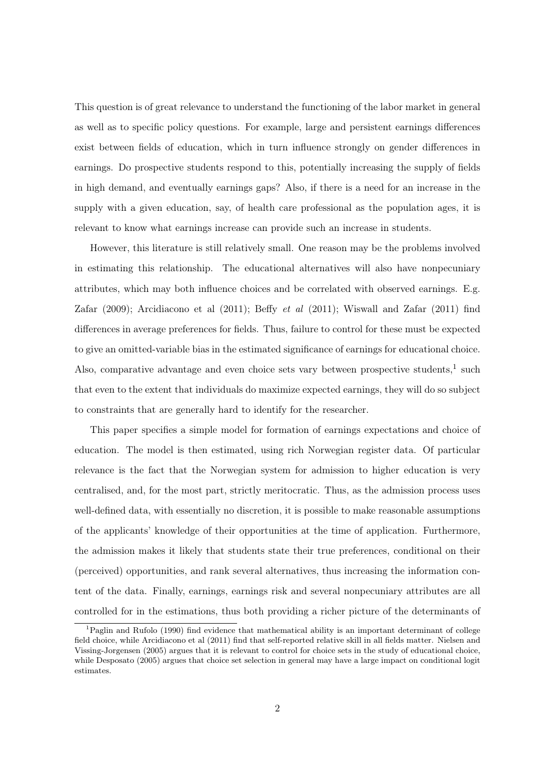This question is of great relevance to understand the functioning of the labor market in general as well as to specific policy questions. For example, large and persistent earnings differences exist between fields of education, which in turn influence strongly on gender differences in earnings. Do prospective students respond to this, potentially increasing the supply of fields in high demand, and eventually earnings gaps? Also, if there is a need for an increase in the supply with a given education, say, of health care professional as the population ages, it is relevant to know what earnings increase can provide such an increase in students.

However, this literature is still relatively small. One reason may be the problems involved in estimating this relationship. The educational alternatives will also have nonpecuniary attributes, which may both influence choices and be correlated with observed earnings. E.g. Zafar  $(2009)$ ; Arcidiacono et al  $(2011)$ ; Beffy *et al*  $(2011)$ ; Wiswall and Zafar  $(2011)$  find differences in average preferences for fields. Thus, failure to control for these must be expected to give an omitted-variable bias in the estimated significance of earnings for educational choice. Also, comparative advantage and even choice sets vary between prospective students, $<sup>1</sup>$  such</sup> that even to the extent that individuals do maximize expected earnings, they will do so subject to constraints that are generally hard to identify for the researcher.

This paper specifies a simple model for formation of earnings expectations and choice of education. The model is then estimated, using rich Norwegian register data. Of particular relevance is the fact that the Norwegian system for admission to higher education is very centralised, and, for the most part, strictly meritocratic. Thus, as the admission process uses well-defined data, with essentially no discretion, it is possible to make reasonable assumptions of the applicants' knowledge of their opportunities at the time of application. Furthermore, the admission makes it likely that students state their true preferences, conditional on their (perceived) opportunities, and rank several alternatives, thus increasing the information content of the data. Finally, earnings, earnings risk and several nonpecuniary attributes are all controlled for in the estimations, thus both providing a richer picture of the determinants of

<sup>&</sup>lt;sup>1</sup>Paglin and Rufolo (1990) find evidence that mathematical ability is an important determinant of college field choice, while Arcidiacono et al (2011) find that self-reported relative skill in all fields matter. Nielsen and Vissing-Jorgensen (2005) argues that it is relevant to control for choice sets in the study of educational choice, while Desposato (2005) argues that choice set selection in general may have a large impact on conditional logit estimates.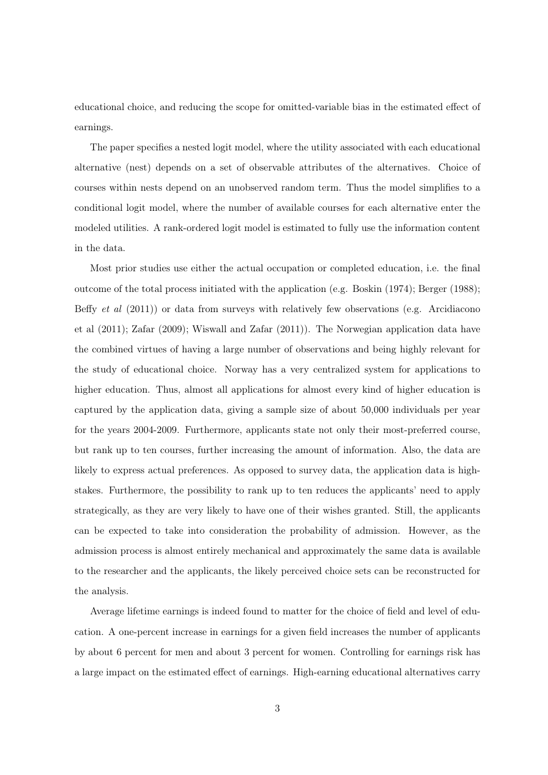educational choice, and reducing the scope for omitted-variable bias in the estimated effect of earnings.

The paper specifies a nested logit model, where the utility associated with each educational alternative (nest) depends on a set of observable attributes of the alternatives. Choice of courses within nests depend on an unobserved random term. Thus the model simplifies to a conditional logit model, where the number of available courses for each alternative enter the modeled utilities. A rank-ordered logit model is estimated to fully use the information content in the data.

Most prior studies use either the actual occupation or completed education, i.e. the final outcome of the total process initiated with the application (e.g. Boskin (1974); Berger (1988); Beffy *et al*  $(2011)$  or data from surveys with relatively few observations (e.g. Arcidiacono et al (2011); Zafar (2009); Wiswall and Zafar (2011)). The Norwegian application data have the combined virtues of having a large number of observations and being highly relevant for the study of educational choice. Norway has a very centralized system for applications to higher education. Thus, almost all applications for almost every kind of higher education is captured by the application data, giving a sample size of about 50,000 individuals per year for the years 2004-2009. Furthermore, applicants state not only their most-preferred course, but rank up to ten courses, further increasing the amount of information. Also, the data are likely to express actual preferences. As opposed to survey data, the application data is highstakes. Furthermore, the possibility to rank up to ten reduces the applicants' need to apply strategically, as they are very likely to have one of their wishes granted. Still, the applicants can be expected to take into consideration the probability of admission. However, as the admission process is almost entirely mechanical and approximately the same data is available to the researcher and the applicants, the likely perceived choice sets can be reconstructed for the analysis.

Average lifetime earnings is indeed found to matter for the choice of field and level of education. A one-percent increase in earnings for a given field increases the number of applicants by about 6 percent for men and about 3 percent for women. Controlling for earnings risk has a large impact on the estimated effect of earnings. High-earning educational alternatives carry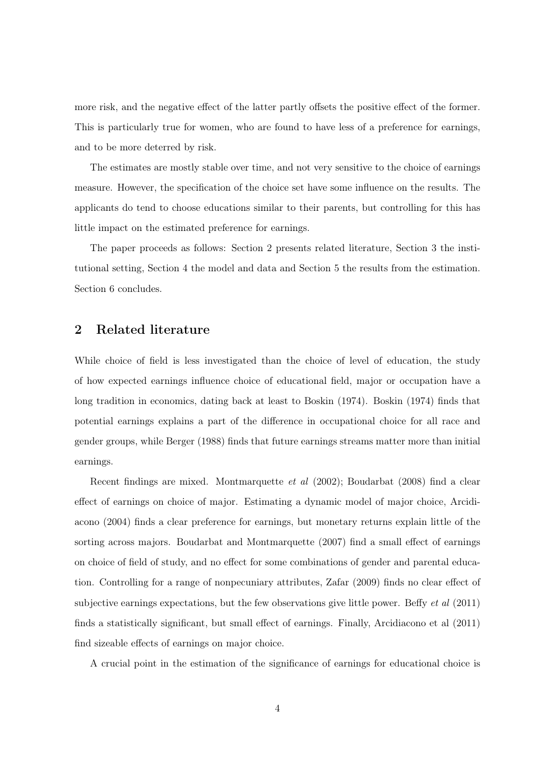more risk, and the negative effect of the latter partly offsets the positive effect of the former. This is particularly true for women, who are found to have less of a preference for earnings, and to be more deterred by risk.

The estimates are mostly stable over time, and not very sensitive to the choice of earnings measure. However, the specification of the choice set have some influence on the results. The applicants do tend to choose educations similar to their parents, but controlling for this has little impact on the estimated preference for earnings.

The paper proceeds as follows: Section 2 presents related literature, Section 3 the institutional setting, Section 4 the model and data and Section 5 the results from the estimation. Section 6 concludes.

## 2 Related literature

While choice of field is less investigated than the choice of level of education, the study of how expected earnings influence choice of educational field, major or occupation have a long tradition in economics, dating back at least to Boskin (1974). Boskin (1974) finds that potential earnings explains a part of the difference in occupational choice for all race and gender groups, while Berger (1988) finds that future earnings streams matter more than initial earnings.

Recent findings are mixed. Montmarquette et al (2002); Boudarbat (2008) find a clear effect of earnings on choice of major. Estimating a dynamic model of major choice, Arcidiacono (2004) finds a clear preference for earnings, but monetary returns explain little of the sorting across majors. Boudarbat and Montmarquette (2007) find a small effect of earnings on choice of field of study, and no effect for some combinations of gender and parental education. Controlling for a range of nonpecuniary attributes, Zafar (2009) finds no clear effect of subjective earnings expectations, but the few observations give little power. Beffy *et al* (2011) finds a statistically significant, but small effect of earnings. Finally, Arcidiacono et al (2011) find sizeable effects of earnings on major choice.

A crucial point in the estimation of the significance of earnings for educational choice is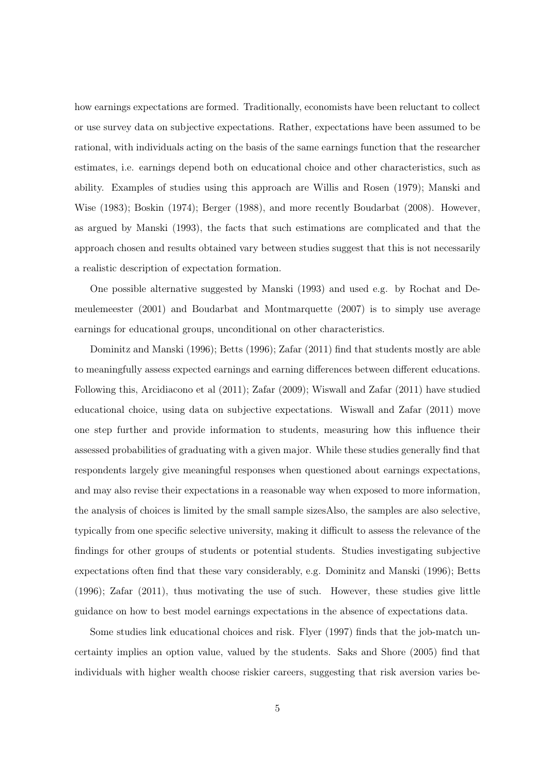how earnings expectations are formed. Traditionally, economists have been reluctant to collect or use survey data on subjective expectations. Rather, expectations have been assumed to be rational, with individuals acting on the basis of the same earnings function that the researcher estimates, i.e. earnings depend both on educational choice and other characteristics, such as ability. Examples of studies using this approach are Willis and Rosen (1979); Manski and Wise (1983); Boskin (1974); Berger (1988), and more recently Boudarbat (2008). However, as argued by Manski (1993), the facts that such estimations are complicated and that the approach chosen and results obtained vary between studies suggest that this is not necessarily a realistic description of expectation formation.

One possible alternative suggested by Manski (1993) and used e.g. by Rochat and Demeulemeester (2001) and Boudarbat and Montmarquette (2007) is to simply use average earnings for educational groups, unconditional on other characteristics.

Dominitz and Manski (1996); Betts (1996); Zafar (2011) find that students mostly are able to meaningfully assess expected earnings and earning differences between different educations. Following this, Arcidiacono et al (2011); Zafar (2009); Wiswall and Zafar (2011) have studied educational choice, using data on subjective expectations. Wiswall and Zafar (2011) move one step further and provide information to students, measuring how this influence their assessed probabilities of graduating with a given major. While these studies generally find that respondents largely give meaningful responses when questioned about earnings expectations, and may also revise their expectations in a reasonable way when exposed to more information, the analysis of choices is limited by the small sample sizesAlso, the samples are also selective, typically from one specific selective university, making it difficult to assess the relevance of the findings for other groups of students or potential students. Studies investigating subjective expectations often find that these vary considerably, e.g. Dominitz and Manski (1996); Betts (1996); Zafar (2011), thus motivating the use of such. However, these studies give little guidance on how to best model earnings expectations in the absence of expectations data.

Some studies link educational choices and risk. Flyer (1997) finds that the job-match uncertainty implies an option value, valued by the students. Saks and Shore (2005) find that individuals with higher wealth choose riskier careers, suggesting that risk aversion varies be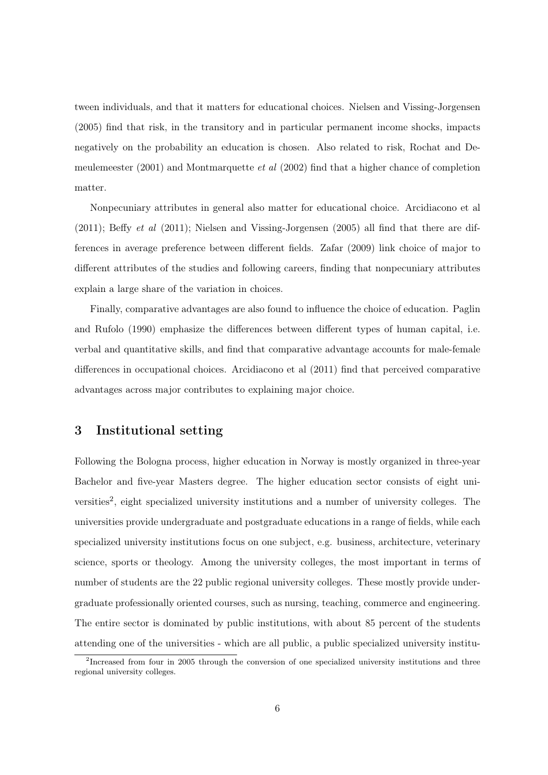tween individuals, and that it matters for educational choices. Nielsen and Vissing-Jorgensen (2005) find that risk, in the transitory and in particular permanent income shocks, impacts negatively on the probability an education is chosen. Also related to risk, Rochat and Demeulemeester  $(2001)$  and Montmarquette *et al*  $(2002)$  find that a higher chance of completion matter.

Nonpecuniary attributes in general also matter for educational choice. Arcidiacono et al  $(2011)$ ; Beffy *et al*  $(2011)$ ; Nielsen and Vissing-Jorgensen  $(2005)$  all find that there are differences in average preference between different fields. Zafar (2009) link choice of major to different attributes of the studies and following careers, finding that nonpecuniary attributes explain a large share of the variation in choices.

Finally, comparative advantages are also found to influence the choice of education. Paglin and Rufolo (1990) emphasize the differences between different types of human capital, i.e. verbal and quantitative skills, and find that comparative advantage accounts for male-female differences in occupational choices. Arcidiacono et al (2011) find that perceived comparative advantages across major contributes to explaining major choice.

## 3 Institutional setting

Following the Bologna process, higher education in Norway is mostly organized in three-year Bachelor and five-year Masters degree. The higher education sector consists of eight universities<sup>2</sup>, eight specialized university institutions and a number of university colleges. The universities provide undergraduate and postgraduate educations in a range of fields, while each specialized university institutions focus on one subject, e.g. business, architecture, veterinary science, sports or theology. Among the university colleges, the most important in terms of number of students are the 22 public regional university colleges. These mostly provide undergraduate professionally oriented courses, such as nursing, teaching, commerce and engineering. The entire sector is dominated by public institutions, with about 85 percent of the students attending one of the universities - which are all public, a public specialized university institu-

<sup>&</sup>lt;sup>2</sup>Increased from four in 2005 through the conversion of one specialized university institutions and three regional university colleges.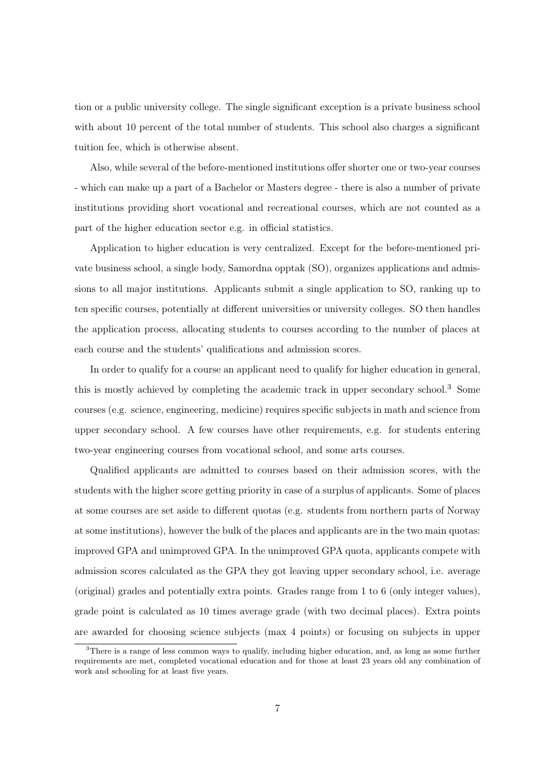tion or a public university college. The single significant exception is a private business school with about 10 percent of the total number of students. This school also charges a significant tuition fee, which is otherwise absent.

Also, while several of the before-mentioned institutions offer shorter one or two-year courses - which can make up a part of a Bachelor or Masters degree - there is also a number of private institutions providing short vocational and recreational courses, which are not counted as a part of the higher education sector e.g. in official statistics.

Application to higher education is very centralized. Except for the before-mentioned private business school, a single body, Samordna opptak (SO), organizes applications and admissions to all major institutions. Applicants submit a single application to SO, ranking up to ten specific courses, potentially at different universities or university colleges. SO then handles the application process, allocating students to courses according to the number of places at each course and the students' qualifications and admission scores.

In order to qualify for a course an applicant need to qualify for higher education in general, this is mostly achieved by completing the academic track in upper secondary school.<sup>3</sup> Some courses (e.g. science, engineering, medicine) requires specific subjects in math and science from upper secondary school. A few courses have other requirements, e.g. for students entering two-year engineering courses from vocational school, and some arts courses.

Qualified applicants are admitted to courses based on their admission scores, with the students with the higher score getting priority in case of a surplus of applicants. Some of places at some courses are set aside to different quotas (e.g. students from northern parts of Norway at some institutions), however the bulk of the places and applicants are in the two main quotas: improved GPA and unimproved GPA. In the unimproved GPA quota, applicants compete with admission scores calculated as the GPA they got leaving upper secondary school, i.e. average (original) grades and potentially extra points. Grades range from 1 to 6 (only integer values), grade point is calculated as 10 times average grade (with two decimal places). Extra points are awarded for choosing science subjects (max 4 points) or focusing on subjects in upper

<sup>3</sup>There is a range of less common ways to qualify, including higher education, and, as long as some further requirements are met, completed vocational education and for those at least 23 years old any combination of work and schooling for at least five years.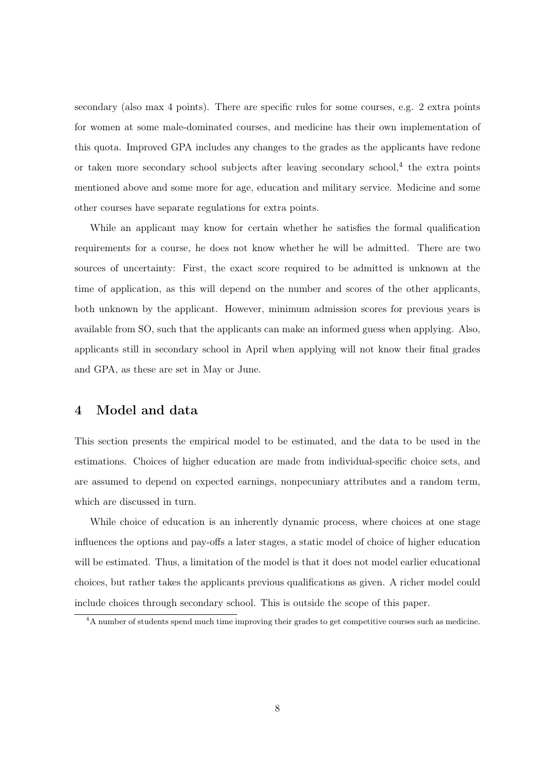secondary (also max 4 points). There are specific rules for some courses, e.g. 2 extra points for women at some male-dominated courses, and medicine has their own implementation of this quota. Improved GPA includes any changes to the grades as the applicants have redone or taken more secondary school subjects after leaving secondary school,<sup>4</sup> the extra points mentioned above and some more for age, education and military service. Medicine and some other courses have separate regulations for extra points.

While an applicant may know for certain whether he satisfies the formal qualification requirements for a course, he does not know whether he will be admitted. There are two sources of uncertainty: First, the exact score required to be admitted is unknown at the time of application, as this will depend on the number and scores of the other applicants, both unknown by the applicant. However, minimum admission scores for previous years is available from SO, such that the applicants can make an informed guess when applying. Also, applicants still in secondary school in April when applying will not know their final grades and GPA, as these are set in May or June.

### 4 Model and data

This section presents the empirical model to be estimated, and the data to be used in the estimations. Choices of higher education are made from individual-specific choice sets, and are assumed to depend on expected earnings, nonpecuniary attributes and a random term, which are discussed in turn.

While choice of education is an inherently dynamic process, where choices at one stage influences the options and pay-offs a later stages, a static model of choice of higher education will be estimated. Thus, a limitation of the model is that it does not model earlier educational choices, but rather takes the applicants previous qualifications as given. A richer model could include choices through secondary school. This is outside the scope of this paper.

<sup>&</sup>lt;sup>4</sup>A number of students spend much time improving their grades to get competitive courses such as medicine.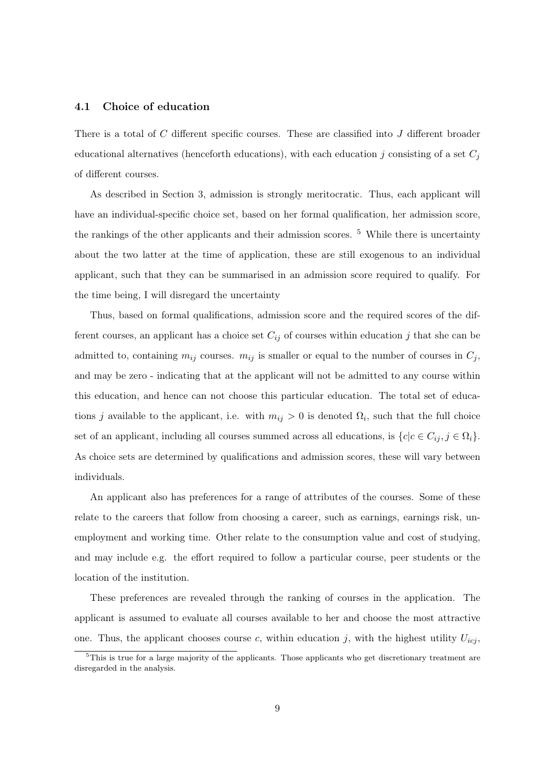#### 4.1 Choice of education

There is a total of C different specific courses. These are classified into J different broader educational alternatives (henceforth educations), with each education j consisting of a set  $C_j$ of different courses.

As described in Section 3, admission is strongly meritocratic. Thus, each applicant will have an individual-specific choice set, based on her formal qualification, her admission score, the rankings of the other applicants and their admission scores.  $5$  While there is uncertainty about the two latter at the time of application, these are still exogenous to an individual applicant, such that they can be summarised in an admission score required to qualify. For the time being, I will disregard the uncertainty

Thus, based on formal qualifications, admission score and the required scores of the different courses, an applicant has a choice set  $C_{ij}$  of courses within education j that she can be admitted to, containing  $m_{ij}$  courses.  $m_{ij}$  is smaller or equal to the number of courses in  $C_j$ , and may be zero - indicating that at the applicant will not be admitted to any course within this education, and hence can not choose this particular education. The total set of educations j available to the applicant, i.e. with  $m_{ij} > 0$  is denoted  $\Omega_i$ , such that the full choice set of an applicant, including all courses summed across all educations, is  $\{c|c \in C_{ij}, j \in \Omega_i\}$ . As choice sets are determined by qualifications and admission scores, these will vary between individuals.

An applicant also has preferences for a range of attributes of the courses. Some of these relate to the careers that follow from choosing a career, such as earnings, earnings risk, unemployment and working time. Other relate to the consumption value and cost of studying, and may include e.g. the effort required to follow a particular course, peer students or the location of the institution.

These preferences are revealed through the ranking of courses in the application. The applicant is assumed to evaluate all courses available to her and choose the most attractive one. Thus, the applicant chooses course c, within education j, with the highest utility  $U_{icj}$ ,

 $5$ This is true for a large majority of the applicants. Those applicants who get discretionary treatment are disregarded in the analysis.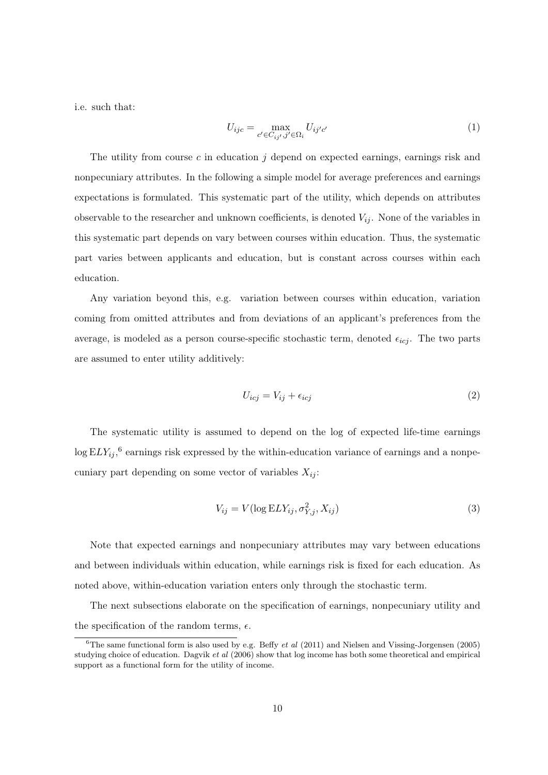i.e. such that:

$$
U_{ijc} = \max_{c' \in C_{ij'}, j' \in \Omega_i} U_{ij'c'} \tag{1}
$$

The utility from course c in education  $j$  depend on expected earnings, earnings risk and nonpecuniary attributes. In the following a simple model for average preferences and earnings expectations is formulated. This systematic part of the utility, which depends on attributes observable to the researcher and unknown coefficients, is denoted  $V_{ij}$ . None of the variables in this systematic part depends on vary between courses within education. Thus, the systematic part varies between applicants and education, but is constant across courses within each education.

Any variation beyond this, e.g. variation between courses within education, variation coming from omitted attributes and from deviations of an applicant's preferences from the average, is modeled as a person course-specific stochastic term, denoted  $\epsilon_{icj}$ . The two parts are assumed to enter utility additively:

$$
U_{icj} = V_{ij} + \epsilon_{icj} \tag{2}
$$

The systematic utility is assumed to depend on the log of expected life-time earnings  $\log ELY_{ij}$ <sup>6</sup> earnings risk expressed by the within-education variance of earnings and a nonpecuniary part depending on some vector of variables  $X_{ij}$ :

$$
V_{ij} = V(\log ELY_{ij}, \sigma_{Y,j}^2, X_{ij})
$$
\n(3)

Note that expected earnings and nonpecuniary attributes may vary between educations and between individuals within education, while earnings risk is fixed for each education. As noted above, within-education variation enters only through the stochastic term.

The next subsections elaborate on the specification of earnings, nonpecuniary utility and the specification of the random terms,  $\epsilon$ .

<sup>&</sup>lt;sup>6</sup>The same functional form is also used by e.g. Beffy et al  $(2011)$  and Nielsen and Vissing-Jorgensen  $(2005)$ studying choice of education. Dagvik et al (2006) show that log income has both some theoretical and empirical support as a functional form for the utility of income.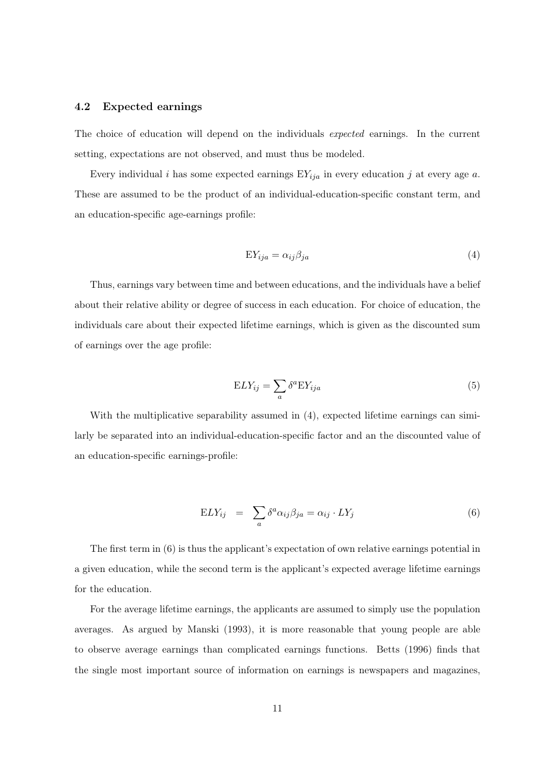#### 4.2 Expected earnings

The choice of education will depend on the individuals expected earnings. In the current setting, expectations are not observed, and must thus be modeled.

Every individual i has some expected earnings  $EY_{ija}$  in every education j at every age a. These are assumed to be the product of an individual-education-specific constant term, and an education-specific age-earnings profile:

$$
EY_{ija} = \alpha_{ij}\beta_{ja} \tag{4}
$$

Thus, earnings vary between time and between educations, and the individuals have a belief about their relative ability or degree of success in each education. For choice of education, the individuals care about their expected lifetime earnings, which is given as the discounted sum of earnings over the age profile:

$$
ELY_{ij} = \sum_{a} \delta^{a} EY_{ija}
$$
 (5)

With the multiplicative separability assumed in (4), expected lifetime earnings can similarly be separated into an individual-education-specific factor and an the discounted value of an education-specific earnings-profile:

$$
ELY_{ij} = \sum_{a} \delta^{a} \alpha_{ij} \beta_{ja} = \alpha_{ij} \cdot LY_{j}
$$
 (6)

The first term in (6) is thus the applicant's expectation of own relative earnings potential in a given education, while the second term is the applicant's expected average lifetime earnings for the education.

For the average lifetime earnings, the applicants are assumed to simply use the population averages. As argued by Manski (1993), it is more reasonable that young people are able to observe average earnings than complicated earnings functions. Betts (1996) finds that the single most important source of information on earnings is newspapers and magazines,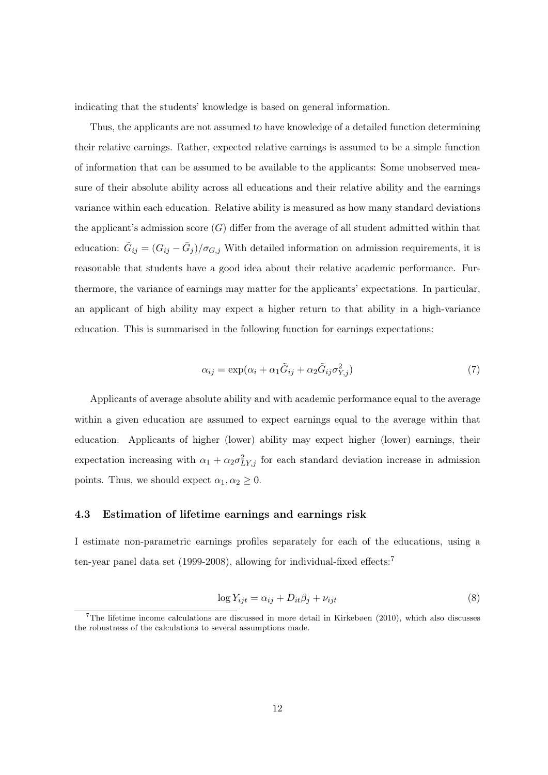indicating that the students' knowledge is based on general information.

Thus, the applicants are not assumed to have knowledge of a detailed function determining their relative earnings. Rather, expected relative earnings is assumed to be a simple function of information that can be assumed to be available to the applicants: Some unobserved measure of their absolute ability across all educations and their relative ability and the earnings variance within each education. Relative ability is measured as how many standard deviations the applicant's admission score  $(G)$  differ from the average of all student admitted within that education:  $\tilde{G}_{ij} = (G_{ij} - \bar{G}_j)/\sigma_{G,j}$  With detailed information on admission requirements, it is reasonable that students have a good idea about their relative academic performance. Furthermore, the variance of earnings may matter for the applicants' expectations. In particular, an applicant of high ability may expect a higher return to that ability in a high-variance education. This is summarised in the following function for earnings expectations:

$$
\alpha_{ij} = \exp(\alpha_i + \alpha_1 \tilde{G}_{ij} + \alpha_2 \tilde{G}_{ij} \sigma_{Y,j}^2)
$$
\n<sup>(7)</sup>

Applicants of average absolute ability and with academic performance equal to the average within a given education are assumed to expect earnings equal to the average within that education. Applicants of higher (lower) ability may expect higher (lower) earnings, their expectation increasing with  $\alpha_1 + \alpha_2 \sigma_{LY,j}^2$  for each standard deviation increase in admission points. Thus, we should expect  $\alpha_1, \alpha_2 \geq 0$ .

#### 4.3 Estimation of lifetime earnings and earnings risk

I estimate non-parametric earnings profiles separately for each of the educations, using a ten-year panel data set (1999-2008), allowing for individual-fixed effects:<sup>7</sup>

$$
\log Y_{ijt} = \alpha_{ij} + D_{it}\beta_j + \nu_{ijt} \tag{8}
$$

<sup>7</sup>The lifetime income calculations are discussed in more detail in Kirkebøen (2010), which also discusses the robustness of the calculations to several assumptions made.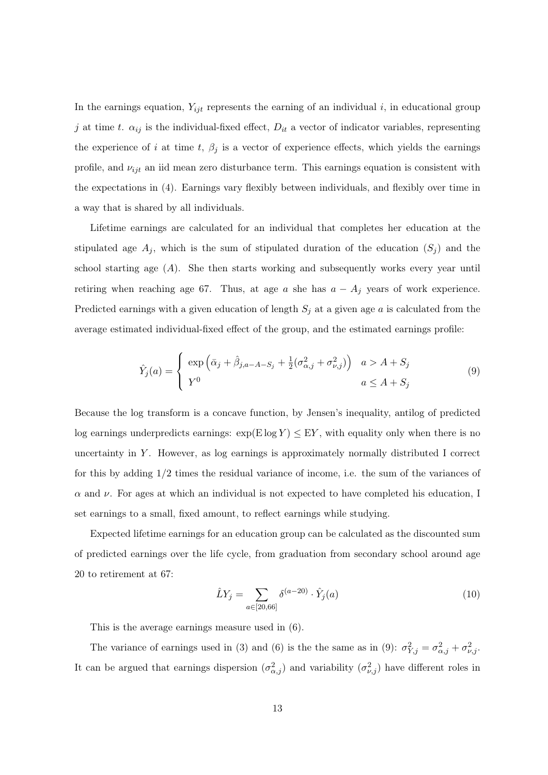In the earnings equation,  $Y_{ijt}$  represents the earning of an individual i, in educational group j at time t.  $\alpha_{ij}$  is the individual-fixed effect,  $D_{it}$  a vector of indicator variables, representing the experience of i at time t,  $\beta_j$  is a vector of experience effects, which yields the earnings profile, and  $\nu_{ijt}$  an iid mean zero disturbance term. This earnings equation is consistent with the expectations in (4). Earnings vary flexibly between individuals, and flexibly over time in a way that is shared by all individuals.

Lifetime earnings are calculated for an individual that completes her education at the stipulated age  $A_j$ , which is the sum of stipulated duration of the education  $(S_j)$  and the school starting age  $(A)$ . She then starts working and subsequently works every year until retiring when reaching age 67. Thus, at age a she has  $a - A_j$  years of work experience. Predicted earnings with a given education of length  $S_j$  at a given age a is calculated from the average estimated individual-fixed effect of the group, and the estimated earnings profile:

$$
\hat{Y}_j(a) = \begin{cases}\n\exp\left(\bar{\alpha}_j + \hat{\beta}_{j,a-A-S_j} + \frac{1}{2}(\sigma_{\alpha,j}^2 + \sigma_{\nu,j}^2)\right) & a > A+S_j \\
Y^0 & a \le A+S_j\n\end{cases}
$$
\n(9)

Because the log transform is a concave function, by Jensen's inequality, antilog of predicted log earnings underpredicts earnings:  $\exp(E \log Y) \leq EY$ , with equality only when there is no uncertainty in  $Y$ . However, as log earnings is approximately normally distributed I correct for this by adding 1/2 times the residual variance of income, i.e. the sum of the variances of  $\alpha$  and  $\nu$ . For ages at which an individual is not expected to have completed his education, I set earnings to a small, fixed amount, to reflect earnings while studying.

Expected lifetime earnings for an education group can be calculated as the discounted sum of predicted earnings over the life cycle, from graduation from secondary school around age 20 to retirement at 67:

$$
\hat{L}Y_j = \sum_{a \in [20, 66]} \delta^{(a-20)} \cdot \hat{Y}_j(a)
$$
\n(10)

This is the average earnings measure used in (6).

The variance of earnings used in (3) and (6) is the the same as in (9):  $\sigma_{Y,j}^2 = \sigma_{\alpha,j}^2 + \sigma_{\nu,j}^2$ . It can be argued that earnings dispersion  $(\sigma_{\alpha,j}^2)$  and variability  $(\sigma_{\nu,j}^2)$  have different roles in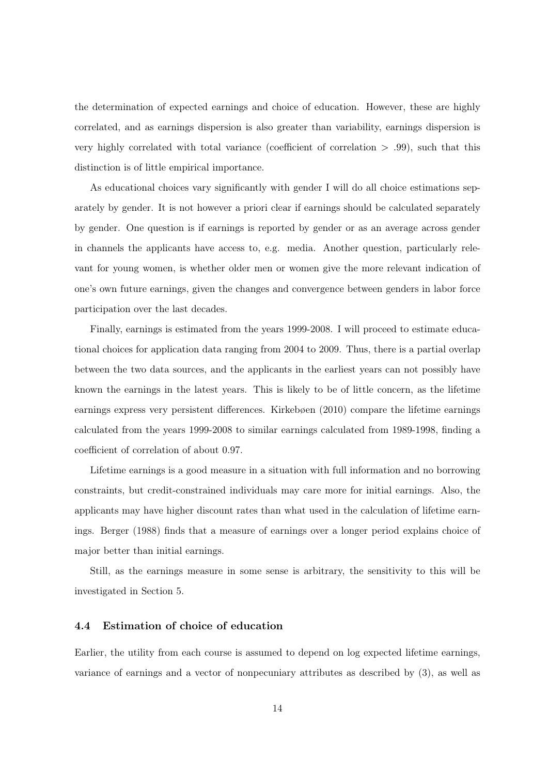the determination of expected earnings and choice of education. However, these are highly correlated, and as earnings dispersion is also greater than variability, earnings dispersion is very highly correlated with total variance (coefficient of correlation  $> .99$ ), such that this distinction is of little empirical importance.

As educational choices vary significantly with gender I will do all choice estimations separately by gender. It is not however a priori clear if earnings should be calculated separately by gender. One question is if earnings is reported by gender or as an average across gender in channels the applicants have access to, e.g. media. Another question, particularly relevant for young women, is whether older men or women give the more relevant indication of one's own future earnings, given the changes and convergence between genders in labor force participation over the last decades.

Finally, earnings is estimated from the years 1999-2008. I will proceed to estimate educational choices for application data ranging from 2004 to 2009. Thus, there is a partial overlap between the two data sources, and the applicants in the earliest years can not possibly have known the earnings in the latest years. This is likely to be of little concern, as the lifetime earnings express very persistent differences. Kirkebøen (2010) compare the lifetime earnings calculated from the years 1999-2008 to similar earnings calculated from 1989-1998, finding a coefficient of correlation of about 0.97.

Lifetime earnings is a good measure in a situation with full information and no borrowing constraints, but credit-constrained individuals may care more for initial earnings. Also, the applicants may have higher discount rates than what used in the calculation of lifetime earnings. Berger (1988) finds that a measure of earnings over a longer period explains choice of major better than initial earnings.

Still, as the earnings measure in some sense is arbitrary, the sensitivity to this will be investigated in Section 5.

#### 4.4 Estimation of choice of education

Earlier, the utility from each course is assumed to depend on log expected lifetime earnings, variance of earnings and a vector of nonpecuniary attributes as described by (3), as well as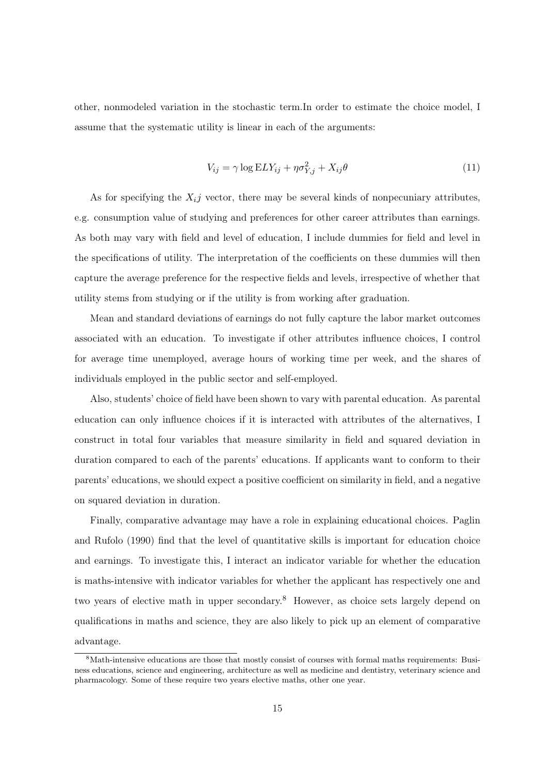other, nonmodeled variation in the stochastic term.In order to estimate the choice model, I assume that the systematic utility is linear in each of the arguments:

$$
V_{ij} = \gamma \log ELY_{ij} + \eta \sigma_{Y,j}^2 + X_{ij}\theta \tag{11}
$$

As for specifying the  $X_{i,j}$  vector, there may be several kinds of nonpecuniary attributes, e.g. consumption value of studying and preferences for other career attributes than earnings. As both may vary with field and level of education, I include dummies for field and level in the specifications of utility. The interpretation of the coefficients on these dummies will then capture the average preference for the respective fields and levels, irrespective of whether that utility stems from studying or if the utility is from working after graduation.

Mean and standard deviations of earnings do not fully capture the labor market outcomes associated with an education. To investigate if other attributes influence choices, I control for average time unemployed, average hours of working time per week, and the shares of individuals employed in the public sector and self-employed.

Also, students' choice of field have been shown to vary with parental education. As parental education can only influence choices if it is interacted with attributes of the alternatives, I construct in total four variables that measure similarity in field and squared deviation in duration compared to each of the parents' educations. If applicants want to conform to their parents' educations, we should expect a positive coefficient on similarity in field, and a negative on squared deviation in duration.

Finally, comparative advantage may have a role in explaining educational choices. Paglin and Rufolo (1990) find that the level of quantitative skills is important for education choice and earnings. To investigate this, I interact an indicator variable for whether the education is maths-intensive with indicator variables for whether the applicant has respectively one and two years of elective math in upper secondary.<sup>8</sup> However, as choice sets largely depend on qualifications in maths and science, they are also likely to pick up an element of comparative advantage.

<sup>8</sup>Math-intensive educations are those that mostly consist of courses with formal maths requirements: Business educations, science and engineering, architecture as well as medicine and dentistry, veterinary science and pharmacology. Some of these require two years elective maths, other one year.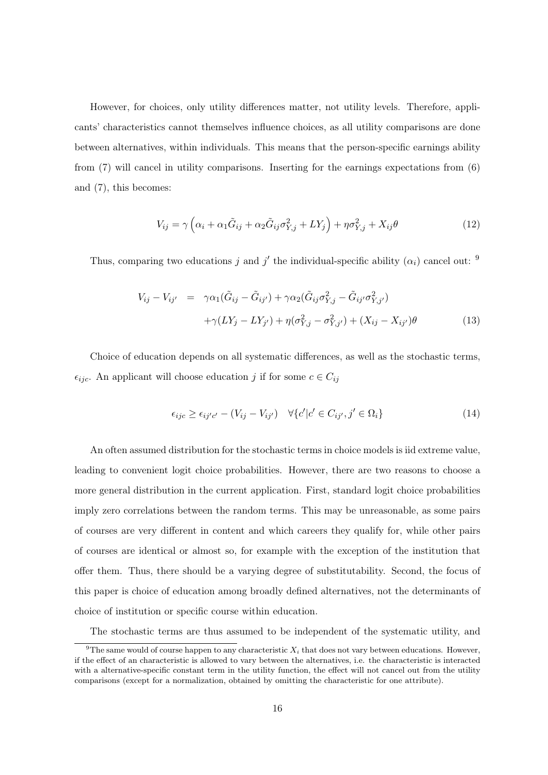However, for choices, only utility differences matter, not utility levels. Therefore, applicants' characteristics cannot themselves influence choices, as all utility comparisons are done between alternatives, within individuals. This means that the person-specific earnings ability from (7) will cancel in utility comparisons. Inserting for the earnings expectations from (6) and (7), this becomes:

$$
V_{ij} = \gamma \left( \alpha_i + \alpha_1 \tilde{G}_{ij} + \alpha_2 \tilde{G}_{ij} \sigma_{Y,j}^2 + LY_j \right) + \eta \sigma_{Y,j}^2 + X_{ij} \theta \tag{12}
$$

Thus, comparing two educations j and j' the individual-specific ability  $(\alpha_i)$  cancel out: <sup>9</sup>

$$
V_{ij} - V_{ij'} = \gamma \alpha_1 (\tilde{G}_{ij} - \tilde{G}_{ij'}) + \gamma \alpha_2 (\tilde{G}_{ij} \sigma_{Y,j}^2 - \tilde{G}_{ij'} \sigma_{Y,j'}^2) + \gamma (LY_j - LY_{j'}) + \eta (\sigma_{Y,j}^2 - \sigma_{Y,j'}^2) + (X_{ij} - X_{ij'}) \theta
$$
(13)

Choice of education depends on all systematic differences, as well as the stochastic terms,  $\epsilon_{ijc}$ . An applicant will choose education j if for some  $c \in C_{ij}$ 

$$
\epsilon_{ijc} \ge \epsilon_{ij'c'} - (V_{ij} - V_{ij'}) \quad \forall \{c'|c' \in C_{ij'}, j' \in \Omega_i\}
$$
\n
$$
(14)
$$

An often assumed distribution for the stochastic terms in choice models is iid extreme value, leading to convenient logit choice probabilities. However, there are two reasons to choose a more general distribution in the current application. First, standard logit choice probabilities imply zero correlations between the random terms. This may be unreasonable, as some pairs of courses are very different in content and which careers they qualify for, while other pairs of courses are identical or almost so, for example with the exception of the institution that offer them. Thus, there should be a varying degree of substitutability. Second, the focus of this paper is choice of education among broadly defined alternatives, not the determinants of choice of institution or specific course within education.

The stochastic terms are thus assumed to be independent of the systematic utility, and

<sup>&</sup>lt;sup>9</sup>The same would of course happen to any characteristic  $X_i$  that does not vary between educations. However, if the effect of an characteristic is allowed to vary between the alternatives, i.e. the characteristic is interacted with a alternative-specific constant term in the utility function, the effect will not cancel out from the utility comparisons (except for a normalization, obtained by omitting the characteristic for one attribute).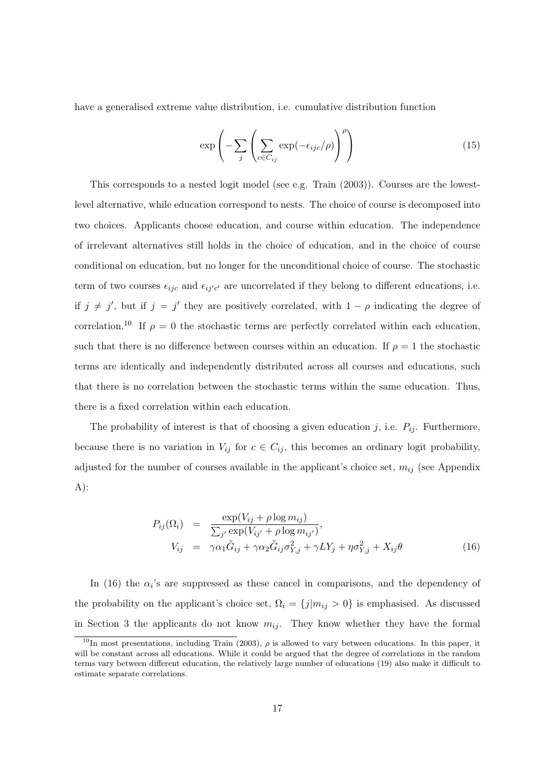have a generalised extreme value distribution, i.e. cumulative distribution function

$$
\exp\left(-\sum_{j}\left(\sum_{c \in C_{ij}} \exp(-\epsilon_{ijc}/\rho)\right)^{\rho}\right) \tag{15}
$$

This corresponds to a nested logit model (see e.g. Train (2003)). Courses are the lowestlevel alternative, while education correspond to nests. The choice of course is decomposed into two choices. Applicants choose education, and course within education. The independence of irrelevant alternatives still holds in the choice of education, and in the choice of course conditional on education, but no longer for the unconditional choice of course. The stochastic term of two courses  $\epsilon_{ijc}$  and  $\epsilon_{ij'c'}$  are uncorrelated if they belong to different educations, i.e. if  $j \neq j'$ , but if  $j = j'$  they are positively correlated, with  $1 - \rho$  indicating the degree of correlation.<sup>10</sup> If  $\rho = 0$  the stochastic terms are perfectly correlated within each education, such that there is no difference between courses within an education. If  $\rho = 1$  the stochastic terms are identically and independently distributed across all courses and educations, such that there is no correlation between the stochastic terms within the same education. Thus, there is a fixed correlation within each education.

The probability of interest is that of choosing a given education j, i.e.  $P_{ij}$ . Furthermore, because there is no variation in  $V_{ij}$  for  $c \in C_{ij}$ , this becomes an ordinary logit probability, adjusted for the number of courses available in the applicant's choice set,  $m_{ij}$  (see Appendix A):

$$
P_{ij}(\Omega_i) = \frac{\exp(V_{ij} + \rho \log m_{ij})}{\sum_{j'} \exp(V_{ij'} + \rho \log m_{ij'})},
$$
  
\n
$$
V_{ij} = \gamma \alpha_1 \tilde{G}_{ij} + \gamma \alpha_2 \tilde{G}_{ij} \sigma_{Y,j}^2 + \gamma L Y_j + \eta \sigma_{Y,j}^2 + X_{ij} \theta
$$
\n(16)

In (16) the  $\alpha_i$ 's are suppressed as these cancel in comparisons, and the dependency of the probability on the applicant's choice set,  $\Omega_i = \{j|m_{ij} > 0\}$  is emphasised. As discussed in Section 3 the applicants do not know  $m_{ij}$ . They know whether they have the formal

<sup>&</sup>lt;sup>10</sup>In most presentations, including Train (2003),  $\rho$  is allowed to vary between educations. In this paper, it will be constant across all educations. While it could be argued that the degree of correlations in the random terms vary between different education, the relatively large number of educations (19) also make it difficult to estimate separate correlations.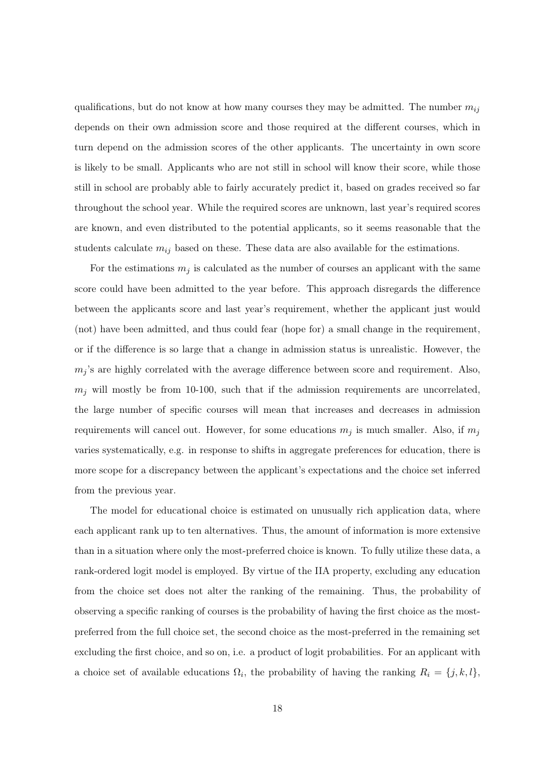qualifications, but do not know at how many courses they may be admitted. The number  $m_{ij}$ depends on their own admission score and those required at the different courses, which in turn depend on the admission scores of the other applicants. The uncertainty in own score is likely to be small. Applicants who are not still in school will know their score, while those still in school are probably able to fairly accurately predict it, based on grades received so far throughout the school year. While the required scores are unknown, last year's required scores are known, and even distributed to the potential applicants, so it seems reasonable that the students calculate  $m_{ij}$  based on these. These data are also available for the estimations.

For the estimations  $m_j$  is calculated as the number of courses an applicant with the same score could have been admitted to the year before. This approach disregards the difference between the applicants score and last year's requirement, whether the applicant just would (not) have been admitted, and thus could fear (hope for) a small change in the requirement, or if the difference is so large that a change in admission status is unrealistic. However, the  $m_j$ 's are highly correlated with the average difference between score and requirement. Also,  $m_i$  will mostly be from 10-100, such that if the admission requirements are uncorrelated, the large number of specific courses will mean that increases and decreases in admission requirements will cancel out. However, for some educations  $m_j$  is much smaller. Also, if  $m_j$ varies systematically, e.g. in response to shifts in aggregate preferences for education, there is more scope for a discrepancy between the applicant's expectations and the choice set inferred from the previous year.

The model for educational choice is estimated on unusually rich application data, where each applicant rank up to ten alternatives. Thus, the amount of information is more extensive than in a situation where only the most-preferred choice is known. To fully utilize these data, a rank-ordered logit model is employed. By virtue of the IIA property, excluding any education from the choice set does not alter the ranking of the remaining. Thus, the probability of observing a specific ranking of courses is the probability of having the first choice as the mostpreferred from the full choice set, the second choice as the most-preferred in the remaining set excluding the first choice, and so on, i.e. a product of logit probabilities. For an applicant with a choice set of available educations  $\Omega_i$ , the probability of having the ranking  $R_i = \{j, k, l\}$ ,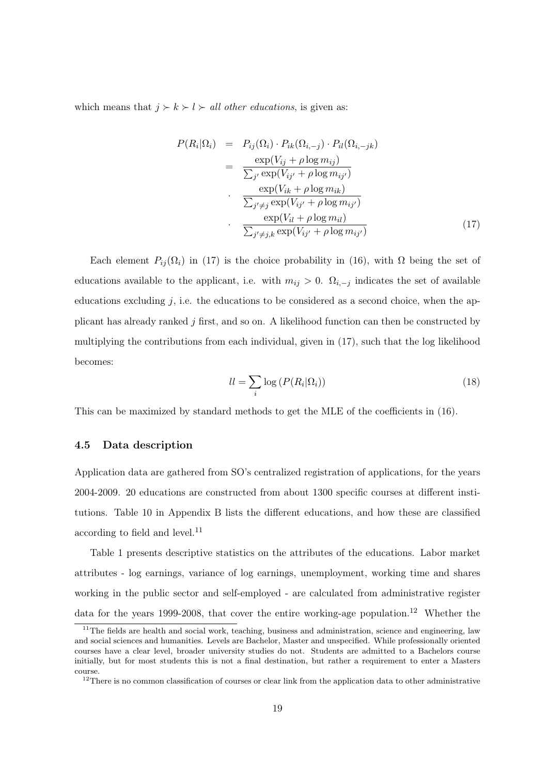which means that  $j \succ k \succ l \succ all$  other educations, is given as:

$$
P(R_i|\Omega_i) = P_{ij}(\Omega_i) \cdot P_{ik}(\Omega_{i,-j}) \cdot P_{il}(\Omega_{i,-jk})
$$
  
\n
$$
= \frac{\exp(V_{ij} + \rho \log m_{ij})}{\sum_{j'} \exp(V_{ij'} + \rho \log m_{ij'})}
$$
  
\n
$$
\cdot \frac{\exp(V_{ik} + \rho \log m_{ik})}{\sum_{j' \neq j} \exp(V_{ij'} + \rho \log m_{ij'})}
$$
  
\n
$$
\cdot \frac{\exp(V_{il} + \rho \log m_{il})}{\sum_{j' \neq j,k} \exp(V_{ij'} + \rho \log m_{ij'})}
$$
(17)

Each element  $P_{ij}(\Omega_i)$  in (17) is the choice probability in (16), with  $\Omega$  being the set of educations available to the applicant, i.e. with  $m_{ij} > 0$ .  $\Omega_{i,-j}$  indicates the set of available educations excluding  $j$ , i.e. the educations to be considered as a second choice, when the applicant has already ranked j first, and so on. A likelihood function can then be constructed by multiplying the contributions from each individual, given in (17), such that the log likelihood becomes:

$$
ll = \sum_{i} \log \left( P(R_i | \Omega_i) \right) \tag{18}
$$

This can be maximized by standard methods to get the MLE of the coefficients in (16).

#### 4.5 Data description

Application data are gathered from SO's centralized registration of applications, for the years 2004-2009. 20 educations are constructed from about 1300 specific courses at different institutions. Table 10 in Appendix B lists the different educations, and how these are classified according to field and level. $^{11}$ 

Table 1 presents descriptive statistics on the attributes of the educations. Labor market attributes - log earnings, variance of log earnings, unemployment, working time and shares working in the public sector and self-employed - are calculated from administrative register data for the years 1999-2008, that cover the entire working-age population.<sup>12</sup> Whether the

 $11$ The fields are health and social work, teaching, business and administration, science and engineering, law and social sciences and humanities. Levels are Bachelor, Master and unspecified. While professionally oriented courses have a clear level, broader university studies do not. Students are admitted to a Bachelors course initially, but for most students this is not a final destination, but rather a requirement to enter a Masters course.

<sup>&</sup>lt;sup>12</sup>There is no common classification of courses or clear link from the application data to other administrative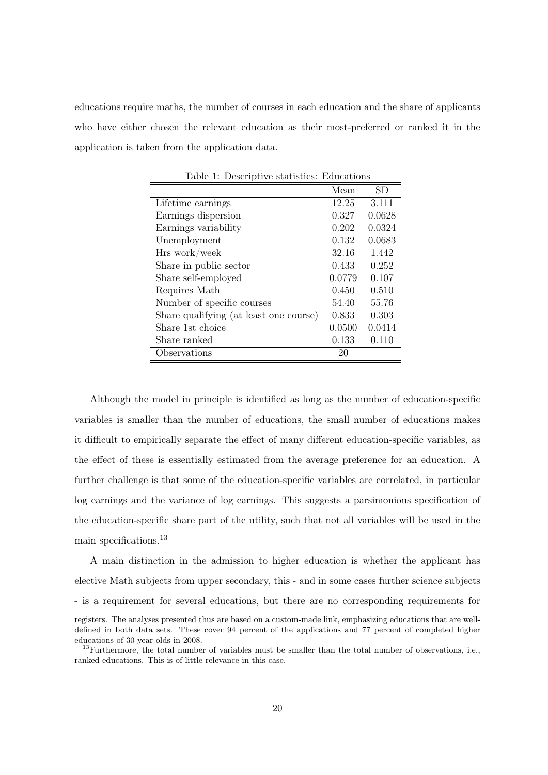educations require maths, the number of courses in each education and the share of applicants who have either chosen the relevant education as their most-preferred or ranked it in the application is taken from the application data.

|                                        | Mean   | SD.    |
|----------------------------------------|--------|--------|
| Lifetime earnings                      | 12.25  | 3.111  |
| Earnings dispersion                    | 0.327  | 0.0628 |
| Earnings variability                   | 0.202  | 0.0324 |
| Unemployment                           | 0.132  | 0.0683 |
| Hrs work/week                          | 32.16  | 1.442  |
| Share in public sector                 | 0.433  | 0.252  |
| Share self-employed                    | 0.0779 | 0.107  |
| Requires Math                          | 0.450  | 0.510  |
| Number of specific courses             | 54.40  | 55.76  |
| Share qualifying (at least one course) | 0.833  | 0.303  |
| Share 1st choice                       | 0.0500 | 0.0414 |
| Share ranked                           | 0.133  | 0.110  |
| Observations                           | 20     |        |

Table 1: Descriptive statistics: Educations

Although the model in principle is identified as long as the number of education-specific variables is smaller than the number of educations, the small number of educations makes it difficult to empirically separate the effect of many different education-specific variables, as the effect of these is essentially estimated from the average preference for an education. A further challenge is that some of the education-specific variables are correlated, in particular log earnings and the variance of log earnings. This suggests a parsimonious specification of the education-specific share part of the utility, such that not all variables will be used in the main specifications.<sup>13</sup>

A main distinction in the admission to higher education is whether the applicant has elective Math subjects from upper secondary, this - and in some cases further science subjects - is a requirement for several educations, but there are no corresponding requirements for

registers. The analyses presented thus are based on a custom-made link, emphasizing educations that are welldefined in both data sets. These cover 94 percent of the applications and 77 percent of completed higher educations of 30-year olds in 2008.

<sup>&</sup>lt;sup>13</sup>Furthermore, the total number of variables must be smaller than the total number of observations, i.e., ranked educations. This is of little relevance in this case.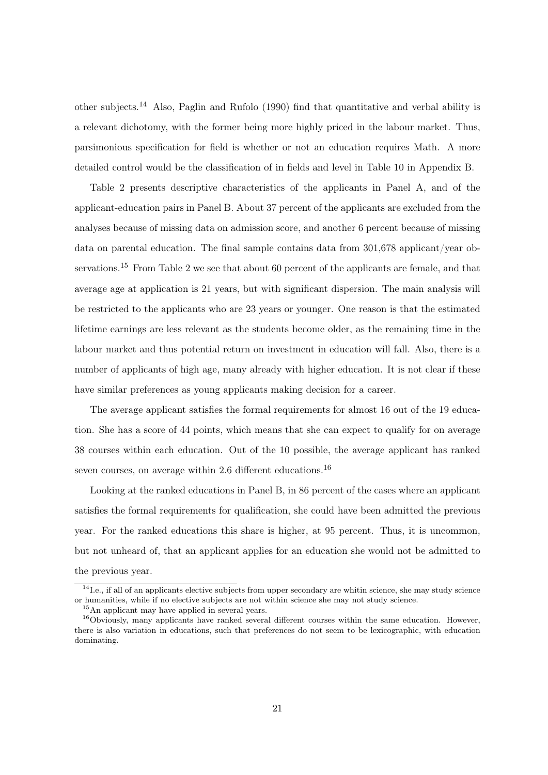other subjects.<sup>14</sup> Also, Paglin and Rufolo (1990) find that quantitative and verbal ability is a relevant dichotomy, with the former being more highly priced in the labour market. Thus, parsimonious specification for field is whether or not an education requires Math. A more detailed control would be the classification of in fields and level in Table 10 in Appendix B.

Table 2 presents descriptive characteristics of the applicants in Panel A, and of the applicant-education pairs in Panel B. About 37 percent of the applicants are excluded from the analyses because of missing data on admission score, and another 6 percent because of missing data on parental education. The final sample contains data from 301,678 applicant/year observations.<sup>15</sup> From Table 2 we see that about 60 percent of the applicants are female, and that average age at application is 21 years, but with significant dispersion. The main analysis will be restricted to the applicants who are 23 years or younger. One reason is that the estimated lifetime earnings are less relevant as the students become older, as the remaining time in the labour market and thus potential return on investment in education will fall. Also, there is a number of applicants of high age, many already with higher education. It is not clear if these have similar preferences as young applicants making decision for a career.

The average applicant satisfies the formal requirements for almost 16 out of the 19 education. She has a score of 44 points, which means that she can expect to qualify for on average 38 courses within each education. Out of the 10 possible, the average applicant has ranked seven courses, on average within 2.6 different educations.<sup>16</sup>

Looking at the ranked educations in Panel B, in 86 percent of the cases where an applicant satisfies the formal requirements for qualification, she could have been admitted the previous year. For the ranked educations this share is higher, at 95 percent. Thus, it is uncommon, but not unheard of, that an applicant applies for an education she would not be admitted to the previous year.

 $14$ I.e., if all of an applicants elective subjects from upper secondary are whitin science, she may study science or humanities, while if no elective subjects are not within science she may not study science.

<sup>15</sup>An applicant may have applied in several years.

 $16$ Obviously, many applicants have ranked several different courses within the same education. However, there is also variation in educations, such that preferences do not seem to be lexicographic, with education dominating.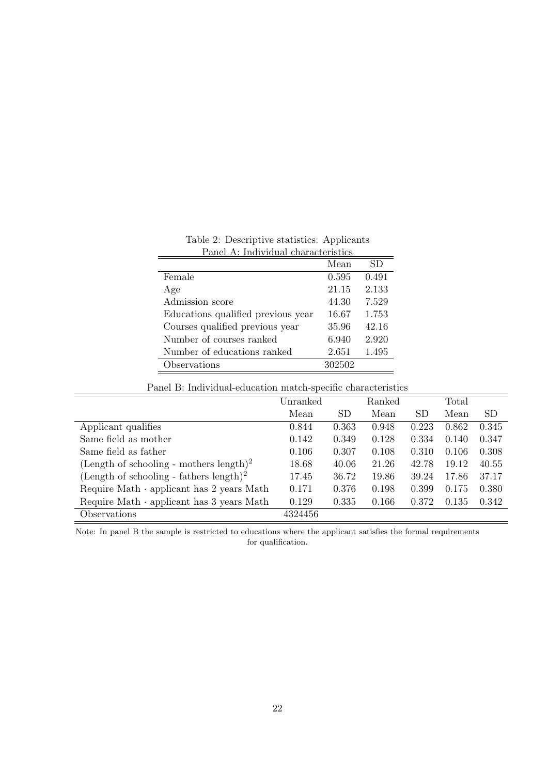| Panel A: Individual characteristics |        |       |  |  |  |  |  |
|-------------------------------------|--------|-------|--|--|--|--|--|
|                                     | Mean   | SD    |  |  |  |  |  |
| Female                              | 0.595  | 0.491 |  |  |  |  |  |
| Age                                 | 21.15  | 2.133 |  |  |  |  |  |
| Admission score                     | 44.30  | 7.529 |  |  |  |  |  |
| Educations qualified previous year  | 16.67  | 1.753 |  |  |  |  |  |
| Courses qualified previous year     | 35.96  | 42.16 |  |  |  |  |  |
| Number of courses ranked            | 6.940  | 2.920 |  |  |  |  |  |
| Number of educations ranked         | 2.651  | 1.495 |  |  |  |  |  |
| Observations                        | 302502 |       |  |  |  |  |  |

Table 2: Descriptive statistics: Applicants

#### Panel B: Individual-education match-specific characteristics

|                                                     | Unranked |           | Ranked |           | Total |           |
|-----------------------------------------------------|----------|-----------|--------|-----------|-------|-----------|
|                                                     | Mean     | <b>SD</b> | Mean   | <b>SD</b> | Mean  | <b>SD</b> |
| Applicant qualifies                                 | 0.844    | 0.363     | 0.948  | 0.223     | 0.862 | 0.345     |
| Same field as mother                                | 0.142    | 0.349     | 0.128  | 0.334     | 0.140 | 0.347     |
| Same field as father                                | 0.106    | 0.307     | 0.108  | 0.310     | 0.106 | 0.308     |
| (Length of schooling - mothers length) <sup>2</sup> | 18.68    | 40.06     | 21.26  | 42.78     | 19.12 | 40.55     |
| (Length of schooling - fathers length) <sup>2</sup> | 17.45    | 36.72     | 19.86  | 39.24     | 17.86 | 37.17     |
| Require Math $\cdot$ applicant has 2 years Math     | 0.171    | 0.376     | 0.198  | 0.399     | 0.175 | 0.380     |
| Require Math $\cdot$ applicant has 3 years Math     | 0.129    | 0.335     | 0.166  | 0.372     | 0.135 | 0.342     |
| Observations                                        | 4324456  |           |        |           |       |           |

Note: In panel B the sample is restricted to educations where the applicant satisfies the formal requirements for qualification.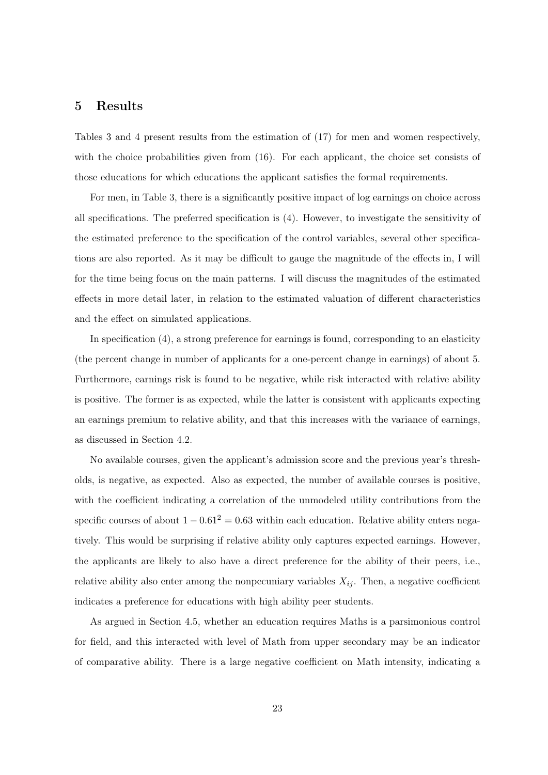## 5 Results

Tables 3 and 4 present results from the estimation of (17) for men and women respectively, with the choice probabilities given from (16). For each applicant, the choice set consists of those educations for which educations the applicant satisfies the formal requirements.

For men, in Table 3, there is a significantly positive impact of log earnings on choice across all specifications. The preferred specification is (4). However, to investigate the sensitivity of the estimated preference to the specification of the control variables, several other specifications are also reported. As it may be difficult to gauge the magnitude of the effects in, I will for the time being focus on the main patterns. I will discuss the magnitudes of the estimated effects in more detail later, in relation to the estimated valuation of different characteristics and the effect on simulated applications.

In specification (4), a strong preference for earnings is found, corresponding to an elasticity (the percent change in number of applicants for a one-percent change in earnings) of about 5. Furthermore, earnings risk is found to be negative, while risk interacted with relative ability is positive. The former is as expected, while the latter is consistent with applicants expecting an earnings premium to relative ability, and that this increases with the variance of earnings, as discussed in Section 4.2.

No available courses, given the applicant's admission score and the previous year's thresholds, is negative, as expected. Also as expected, the number of available courses is positive, with the coefficient indicating a correlation of the unmodeled utility contributions from the specific courses of about  $1 - 0.61^2 = 0.63$  within each education. Relative ability enters negatively. This would be surprising if relative ability only captures expected earnings. However, the applicants are likely to also have a direct preference for the ability of their peers, i.e., relative ability also enter among the nonpecuniary variables  $X_{ij}$ . Then, a negative coefficient indicates a preference for educations with high ability peer students.

As argued in Section 4.5, whether an education requires Maths is a parsimonious control for field, and this interacted with level of Math from upper secondary may be an indicator of comparative ability. There is a large negative coefficient on Math intensity, indicating a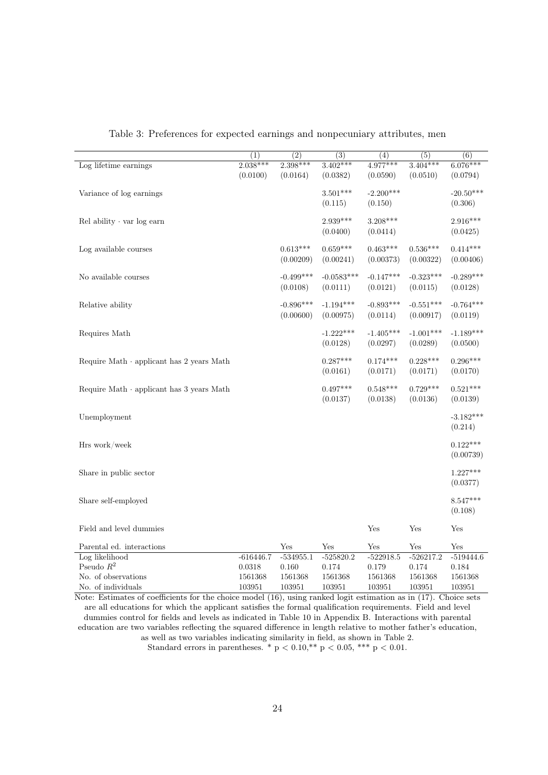|                                                 | (1)         | $\overline{(2)}$ | $\overline{(3)}$ | (4)         | (5)         | (6)         |
|-------------------------------------------------|-------------|------------------|------------------|-------------|-------------|-------------|
| Log lifetime earnings                           | $2.038***$  | $2.398***$       | $3.402***$       | $4.977***$  | $3.404***$  | $6.076***$  |
|                                                 | (0.0100)    | (0.0164)         | (0.0382)         | (0.0590)    | (0.0510)    | (0.0794)    |
|                                                 |             |                  | $3.501***$       |             |             |             |
| Variance of log earnings                        |             |                  |                  | $-2.200***$ |             | $-20.50***$ |
|                                                 |             |                  | (0.115)          | (0.150)     |             | (0.306)     |
| Rel ability $\cdot$ var log earn                |             |                  | 2.939***         | $3.208***$  |             | $2.916***$  |
|                                                 |             |                  | (0.0400)         | (0.0414)    |             | (0.0425)    |
|                                                 |             |                  |                  |             |             |             |
| Log available courses                           |             | $0.613***$       | $0.659***$       | $0.463***$  | $0.536***$  | $0.414***$  |
|                                                 |             | (0.00209)        | (0.00241)        | (0.00373)   | (0.00322)   | (0.00406)   |
| No available courses                            |             | $-0.499***$      | $-0.0583***$     | $-0.147***$ | $-0.323***$ | $-0.289***$ |
|                                                 |             | (0.0108)         | (0.0111)         | (0.0121)    | (0.0115)    | (0.0128)    |
|                                                 |             |                  |                  |             |             |             |
| Relative ability                                |             | $-0.896***$      | $-1.194***$      | $-0.893***$ | $-0.551***$ | $-0.764***$ |
|                                                 |             | (0.00600)        | (0.00975)        | (0.0114)    | (0.00917)   | (0.0119)    |
| Requires Math                                   |             |                  | $-1.222***$      | $-1.405***$ | $-1.001***$ | $-1.189***$ |
|                                                 |             |                  | (0.0128)         | (0.0297)    | (0.0289)    | (0.0500)    |
|                                                 |             |                  |                  |             |             |             |
| Require Math · applicant has 2 years Math       |             |                  | $0.287***$       | $0.174***$  | $0.228***$  | $0.296***$  |
|                                                 |             |                  | (0.0161)         | (0.0171)    | (0.0171)    | (0.0170)    |
|                                                 |             |                  | $0.497***$       | $0.548***$  | $0.729***$  | $0.521***$  |
| Require Math $\cdot$ applicant has 3 years Math |             |                  | (0.0137)         | (0.0138)    | (0.0136)    | (0.0139)    |
|                                                 |             |                  |                  |             |             |             |
| Unemployment                                    |             |                  |                  |             |             | $-3.182***$ |
|                                                 |             |                  |                  |             |             | (0.214)     |
|                                                 |             |                  |                  |             |             |             |
| Hrs work/week                                   |             |                  |                  |             |             | $0.122***$  |
|                                                 |             |                  |                  |             |             | (0.00739)   |
| Share in public sector                          |             |                  |                  |             |             | $1.227***$  |
|                                                 |             |                  |                  |             |             | (0.0377)    |
|                                                 |             |                  |                  |             |             |             |
| Share self-employed                             |             |                  |                  |             |             | $8.547***$  |
|                                                 |             |                  |                  |             |             | (0.108)     |
| Field and level dummies                         |             |                  |                  | Yes         | Yes         | Yes         |
|                                                 |             |                  |                  |             |             |             |
| Parental ed. interactions                       |             | Yes              | Yes              | Yes         | Yes         | Yes         |
| Log likelihood                                  | $-616446.7$ | $-534955.1$      | $-525820.2$      | $-522918.5$ | $-526217.2$ | $-519444.6$ |
| Pseudo $R^2$                                    | 0.0318      | 0.160            | 0.174            | 0.179       | 0.174       | 0.184       |
| No. of observations                             | 1561368     | 1561368          | 1561368          | 1561368     | 1561368     | 1561368     |
| No. of individuals                              | 103951      | 103951           | 103951           | 103951      | 103951      | 103951      |

Table 3: Preferences for expected earnings and nonpecuniary attributes, men

Note: Estimates of coefficients for the choice model (16), using ranked logit estimation as in (17). Choice sets are all educations for which the applicant satisfies the formal qualification requirements. Field and level dummies control for fields and levels as indicated in Table 10 in Appendix B. Interactions with parental education are two variables reflecting the squared difference in length relative to mother father's education, as well as two variables indicating similarity in field, as shown in Table 2. Standard errors in parentheses. \* p < 0.10,\*\* p < 0.05, \*\*\* p < 0.01.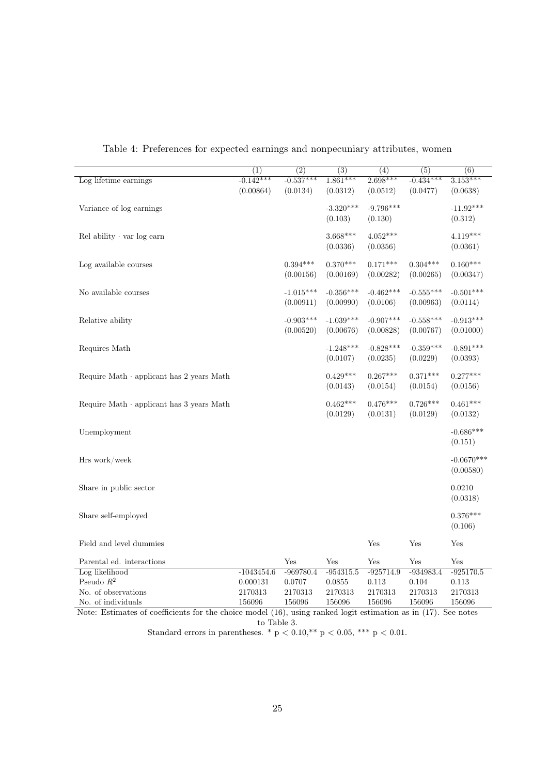|                                           | $\overline{(1)}$ | $\overline{(2)}$ | $\overline{(3)}$ | $\overline{(4)}$ | $\overline{(5)}$ | $\overline{(6)}$ |
|-------------------------------------------|------------------|------------------|------------------|------------------|------------------|------------------|
| Log lifetime earnings                     | $-0.142***$      | $-0.537***$      | $1.861***$       | $2.698***$       | $-0.434***$      | $3.153***$       |
|                                           | (0.00864)        | (0.0134)         | (0.0312)         | (0.0512)         | (0.0477)         | (0.0638)         |
| Variance of log earnings                  |                  |                  | $-3.320***$      | $-9.796***$      |                  | $-11.92***$      |
|                                           |                  |                  | (0.103)          | (0.130)          |                  | (0.312)          |
| Rel ability $\cdot$ var log earn          |                  |                  | $3.668***$       | $4.052***$       |                  | $4.119***$       |
|                                           |                  |                  | (0.0336)         | (0.0356)         |                  | (0.0361)         |
| Log available courses                     |                  | $0.394***$       | $0.370***$       | $0.171***$       | $0.304***$       | $0.160***$       |
|                                           |                  | (0.00156)        | (0.00169)        | (0.00282)        | (0.00265)        | (0.00347)        |
| No available courses                      |                  | $-1.015***$      | $-0.356***$      | $-0.462***$      | $-0.555***$      | $-0.501***$      |
|                                           |                  | (0.00911)        | (0.00990)        | (0.0106)         | (0.00963)        | (0.0114)         |
| Relative ability                          |                  | $-0.903***$      | $-1.039***$      | $-0.907***$      | $-0.558***$      | $-0.913***$      |
|                                           |                  | (0.00520)        | (0.00676)        | (0.00828)        | (0.00767)        | (0.01000)        |
| Requires Math                             |                  |                  | $-1.248***$      | $-0.828***$      | $-0.359***$      | $-0.891***$      |
|                                           |                  |                  | (0.0107)         | (0.0235)         | (0.0229)         | (0.0393)         |
| Require Math · applicant has 2 years Math |                  |                  | $0.429***$       | $0.267***$       | $0.371***$       | $0.277***$       |
|                                           |                  |                  | (0.0143)         | (0.0154)         | (0.0154)         | (0.0156)         |
| Require Math · applicant has 3 years Math |                  |                  | $0.462***$       | $0.476***$       | $0.726***$       | $0.461***$       |
|                                           |                  |                  | (0.0129)         | (0.0131)         | (0.0129)         | (0.0132)         |
| Unemployment                              |                  |                  |                  |                  |                  | $-0.686***$      |
|                                           |                  |                  |                  |                  |                  | (0.151)          |
| Hrs work/week                             |                  |                  |                  |                  |                  | $-0.0670***$     |
|                                           |                  |                  |                  |                  |                  | (0.00580)        |
| Share in public sector                    |                  |                  |                  |                  |                  | 0.0210           |
|                                           |                  |                  |                  |                  |                  | (0.0318)         |
| Share self-employed                       |                  |                  |                  |                  |                  | $0.376***$       |
|                                           |                  |                  |                  |                  |                  | (0.106)          |
| Field and level dummies                   |                  |                  |                  | Yes              | Yes              | Yes              |
| Parental ed. interactions                 |                  | Yes              | Yes              | Yes              | Yes              | Yes              |
| Log likelihood                            | $-1043454.6$     | $-969780.4$      | $-954315.5$      | $-925714.9$      | $-934983.4$      | $-925170.5$      |
| Pseudo $R^2$                              | 0.000131         | 0.0707           | 0.0855           | 0.113            | $0.104\,$        | 0.113            |
| No. of observations                       | 2170313          | 2170313          | 2170313          | 2170313          | 2170313          | 2170313          |
| No. of individuals                        | 156096           | 156096           | 156096           | 156096           | 156096           | 156096           |

Table 4: Preferences for expected earnings and nonpecuniary attributes, women

Note: Estimates of coefficients for the choice model (16), using ranked logit estimation as in (17). See notes to Table 3.

Standard errors in parentheses. \*  $p < 0.10$ , \*\*  $p < 0.05$ , \*\*\*  $p < 0.01$ .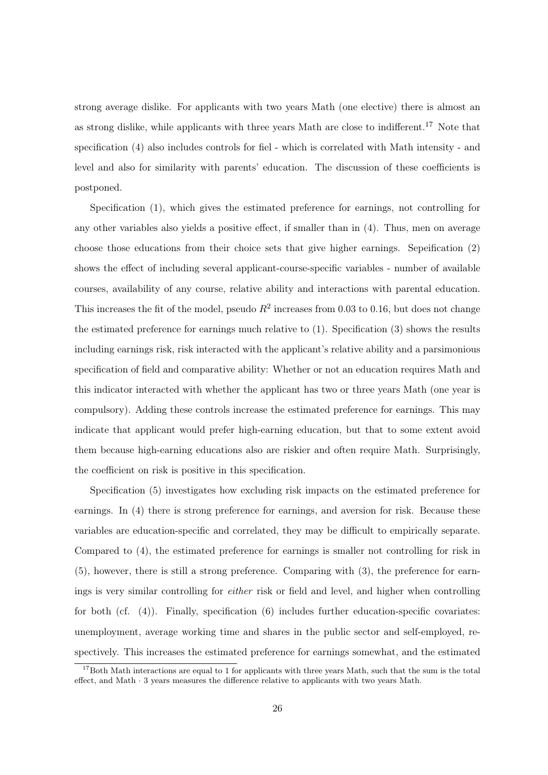strong average dislike. For applicants with two years Math (one elective) there is almost an as strong dislike, while applicants with three years Math are close to indifferent.<sup>17</sup> Note that specification (4) also includes controls for fiel - which is correlated with Math intensity - and level and also for similarity with parents' education. The discussion of these coefficients is postponed.

Specification (1), which gives the estimated preference for earnings, not controlling for any other variables also yields a positive effect, if smaller than in (4). Thus, men on average choose those educations from their choice sets that give higher earnings. Sepeification (2) shows the effect of including several applicant-course-specific variables - number of available courses, availability of any course, relative ability and interactions with parental education. This increases the fit of the model, pseudo  $R^2$  increases from 0.03 to 0.16, but does not change the estimated preference for earnings much relative to (1). Specification (3) shows the results including earnings risk, risk interacted with the applicant's relative ability and a parsimonious specification of field and comparative ability: Whether or not an education requires Math and this indicator interacted with whether the applicant has two or three years Math (one year is compulsory). Adding these controls increase the estimated preference for earnings. This may indicate that applicant would prefer high-earning education, but that to some extent avoid them because high-earning educations also are riskier and often require Math. Surprisingly, the coefficient on risk is positive in this specification.

Specification (5) investigates how excluding risk impacts on the estimated preference for earnings. In (4) there is strong preference for earnings, and aversion for risk. Because these variables are education-specific and correlated, they may be difficult to empirically separate. Compared to (4), the estimated preference for earnings is smaller not controlling for risk in (5), however, there is still a strong preference. Comparing with (3), the preference for earnings is very similar controlling for either risk or field and level, and higher when controlling for both  $(cf. (4))$ . Finally, specification  $(6)$  includes further education-specific covariates: unemployment, average working time and shares in the public sector and self-employed, respectively. This increases the estimated preference for earnings somewhat, and the estimated

 $17$ Both Math interactions are equal to 1 for applicants with three years Math, such that the sum is the total effect, and Math · 3 years measures the difference relative to applicants with two years Math.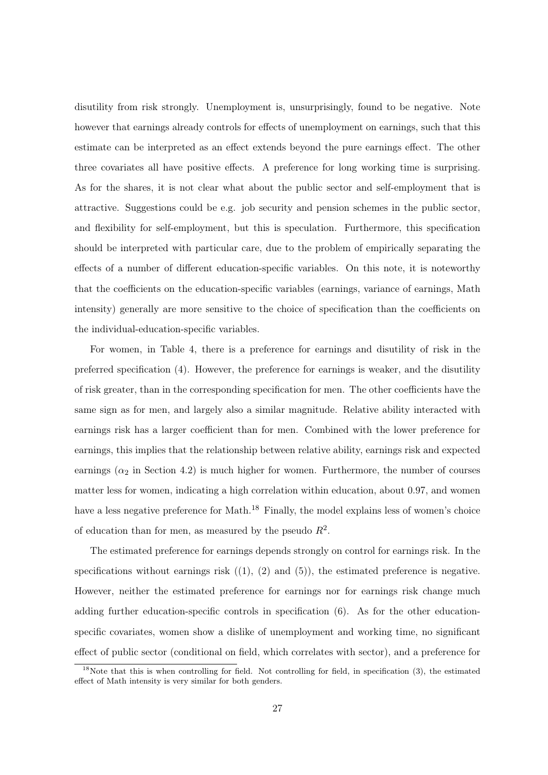disutility from risk strongly. Unemployment is, unsurprisingly, found to be negative. Note however that earnings already controls for effects of unemployment on earnings, such that this estimate can be interpreted as an effect extends beyond the pure earnings effect. The other three covariates all have positive effects. A preference for long working time is surprising. As for the shares, it is not clear what about the public sector and self-employment that is attractive. Suggestions could be e.g. job security and pension schemes in the public sector, and flexibility for self-employment, but this is speculation. Furthermore, this specification should be interpreted with particular care, due to the problem of empirically separating the effects of a number of different education-specific variables. On this note, it is noteworthy that the coefficients on the education-specific variables (earnings, variance of earnings, Math intensity) generally are more sensitive to the choice of specification than the coefficients on the individual-education-specific variables.

For women, in Table 4, there is a preference for earnings and disutility of risk in the preferred specification (4). However, the preference for earnings is weaker, and the disutility of risk greater, than in the corresponding specification for men. The other coefficients have the same sign as for men, and largely also a similar magnitude. Relative ability interacted with earnings risk has a larger coefficient than for men. Combined with the lower preference for earnings, this implies that the relationship between relative ability, earnings risk and expected earnings  $(\alpha_2$  in Section 4.2) is much higher for women. Furthermore, the number of courses matter less for women, indicating a high correlation within education, about 0.97, and women have a less negative preference for Math.<sup>18</sup> Finally, the model explains less of women's choice of education than for men, as measured by the pseudo  $R^2$ .

The estimated preference for earnings depends strongly on control for earnings risk. In the specifications without earnings risk  $((1), (2)$  and  $(5)$ ), the estimated preference is negative. However, neither the estimated preference for earnings nor for earnings risk change much adding further education-specific controls in specification (6). As for the other educationspecific covariates, women show a dislike of unemployment and working time, no significant effect of public sector (conditional on field, which correlates with sector), and a preference for

 $18$ Note that this is when controlling for field. Not controlling for field, in specification (3), the estimated effect of Math intensity is very similar for both genders.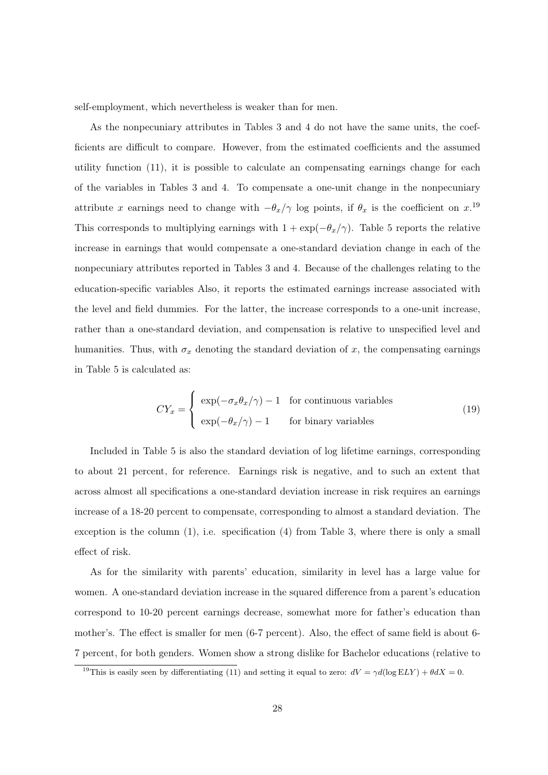self-employment, which nevertheless is weaker than for men.

As the nonpecuniary attributes in Tables 3 and 4 do not have the same units, the coefficients are difficult to compare. However, from the estimated coefficients and the assumed utility function (11), it is possible to calculate an compensating earnings change for each of the variables in Tables 3 and 4. To compensate a one-unit change in the nonpecuniary attribute x earnings need to change with  $-\theta_x/\gamma$  log points, if  $\theta_x$  is the coefficient on  $x$ .<sup>19</sup> This corresponds to multiplying earnings with  $1 + \exp(-\theta_x/\gamma)$ . Table 5 reports the relative increase in earnings that would compensate a one-standard deviation change in each of the nonpecuniary attributes reported in Tables 3 and 4. Because of the challenges relating to the education-specific variables Also, it reports the estimated earnings increase associated with the level and field dummies. For the latter, the increase corresponds to a one-unit increase, rather than a one-standard deviation, and compensation is relative to unspecified level and humanities. Thus, with  $\sigma_x$  denoting the standard deviation of x, the compensating earnings in Table 5 is calculated as:

$$
CY_x = \begin{cases} \exp(-\sigma_x \theta_x/\gamma) - 1 & \text{for continuous variables} \\ \exp(-\theta_x/\gamma) - 1 & \text{for binary variables} \end{cases}
$$
 (19)

Included in Table 5 is also the standard deviation of log lifetime earnings, corresponding to about 21 percent, for reference. Earnings risk is negative, and to such an extent that across almost all specifications a one-standard deviation increase in risk requires an earnings increase of a 18-20 percent to compensate, corresponding to almost a standard deviation. The exception is the column  $(1)$ , i.e. specification  $(4)$  from Table 3, where there is only a small effect of risk.

As for the similarity with parents' education, similarity in level has a large value for women. A one-standard deviation increase in the squared difference from a parent's education correspond to 10-20 percent earnings decrease, somewhat more for father's education than mother's. The effect is smaller for men (6-7 percent). Also, the effect of same field is about 6- 7 percent, for both genders. Women show a strong dislike for Bachelor educations (relative to

<sup>&</sup>lt;sup>19</sup>This is easily seen by differentiating (11) and setting it equal to zero:  $dV = \gamma d(\log ELY) + \theta dX = 0$ .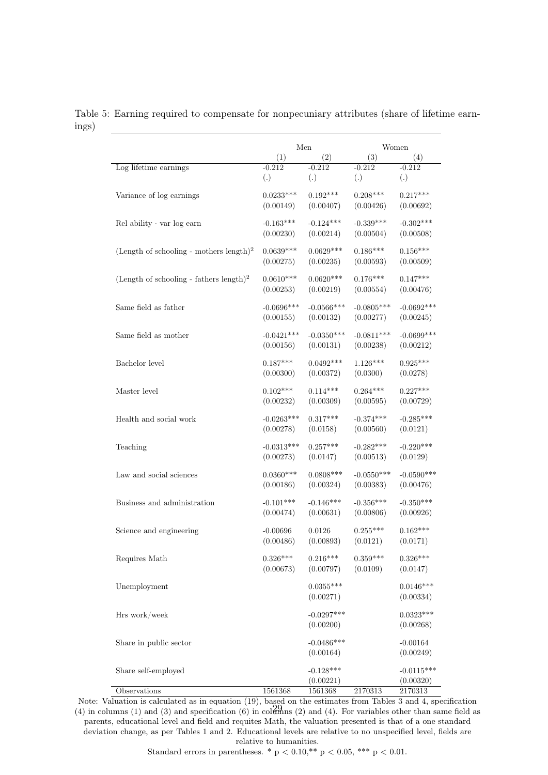|                                                     |              | Men          |              | Women        |  |
|-----------------------------------------------------|--------------|--------------|--------------|--------------|--|
|                                                     | (1)          | (2)          | (3)          | (4)          |  |
| Log lifetime earnings                               | $-0.212$     | $-0.212$     | $-0.212$     | $-0.212$     |  |
|                                                     | (.)          | (.)          | (.)          | (.)          |  |
| Variance of log earnings                            | $0.0233***$  | $0.192***$   | $0.208***$   | $0.217***$   |  |
|                                                     | (0.00149)    | (0.00407)    | (0.00426)    | (0.00692)    |  |
| $Rel$ ability $\cdot$ var log earn                  | $-0.163***$  | $-0.124***$  | $-0.339***$  | $-0.302***$  |  |
|                                                     | (0.00230)    | (0.00214)    | (0.00504)    | (0.00508)    |  |
| (Length of schooling - mothers length) <sup>2</sup> | $0.0639***$  | $0.0629***$  | $0.186***$   | $0.156***$   |  |
|                                                     | (0.00275)    | (0.00235)    | (0.00593)    | (0.00509)    |  |
| (Length of schooling - fathers length) <sup>2</sup> | $0.0610***$  | $0.0620***$  | $0.176***$   | $0.147***$   |  |
|                                                     | (0.00253)    | (0.00219)    | (0.00554)    | (0.00476)    |  |
| Same field as father                                | $-0.0696***$ | $-0.0566***$ | $-0.0805***$ | $-0.0692***$ |  |
|                                                     | (0.00155)    | (0.00132)    | (0.00277)    | (0.00245)    |  |
| Same field as mother                                | $-0.0421***$ | $-0.0350***$ | $-0.0811***$ | $-0.0699***$ |  |
|                                                     | (0.00156)    | (0.00131)    | (0.00238)    | (0.00212)    |  |
| Bachelor level                                      | $0.187***$   | $0.0492***$  | $1.126***$   | $0.925***$   |  |
|                                                     | (0.00300)    | (0.00372)    | (0.0300)     | (0.0278)     |  |
| Master level                                        | $0.102***$   | $0.114***$   | $0.264***$   | $0.227***$   |  |
|                                                     | (0.00232)    | (0.00309)    | (0.00595)    | (0.00729)    |  |
| Health and social work                              | $-0.0263***$ | $0.317***$   | $-0.374***$  | $-0.285***$  |  |
|                                                     | (0.00278)    | (0.0158)     | (0.00560)    | (0.0121)     |  |
| Teaching                                            | $-0.0313***$ | $0.257***$   | $-0.282***$  | $-0.220***$  |  |
|                                                     | (0.00273)    | (0.0147)     | (0.00513)    | (0.0129)     |  |
| Law and social sciences                             | $0.0360***$  | $0.0808***$  | $-0.0550***$ | $-0.0590***$ |  |
|                                                     | (0.00186)    | (0.00324)    | (0.00383)    | (0.00476)    |  |
| Business and administration                         | $-0.101***$  | $-0.146***$  | $-0.356***$  | $-0.350***$  |  |
|                                                     | (0.00474)    | (0.00631)    | (0.00806)    | (0.00926)    |  |
| Science and engineering                             | $-0.00696$   | 0.0126       | $0.255***$   | $0.162***$   |  |
|                                                     | (0.00486)    | (0.00893)    | (0.0121)     | (0.0171)     |  |
| Requires Math                                       | $0.326***$   | $0.216***$   | $0.359***$   | $0.326***$   |  |
|                                                     | (0.00673)    | (0.00797)    | (0.0109)     | (0.0147)     |  |
| Unemployment                                        |              | $0.0355***$  |              | $0.0146***$  |  |
|                                                     |              | (0.00271)    |              | (0.00334)    |  |
| Hrs work/week                                       |              | $-0.0297***$ |              | $0.0323***$  |  |
|                                                     |              | (0.00200)    |              | (0.00268)    |  |
| Share in public sector                              |              | $-0.0486***$ |              | $-0.00164$   |  |
|                                                     |              | (0.00164)    |              | (0.00249)    |  |
| Share self-employed                                 |              | $-0.128***$  |              | $-0.0115***$ |  |
|                                                     |              | (0.00221)    |              | (0.00320)    |  |
| Observations                                        | 1561368      | 1561368      | 2170313      | 2170313      |  |

Table 5: Earning required to compensate for nonpecuniary attributes (share of lifetime earnings)

Note: Valuation is calculated as in equation (19), based on the estimates from Tables 3 and 4, specification (4) in columns (1) and (3) and specification (6) in columns (2) and (4). For variables other than same field as parents, educational level and field and requites Math, the valuation presented is that of a one standard deviation change, as per Tables 1 and 2. Educational levels are relative to no unspecified level, fields are relative to humanities.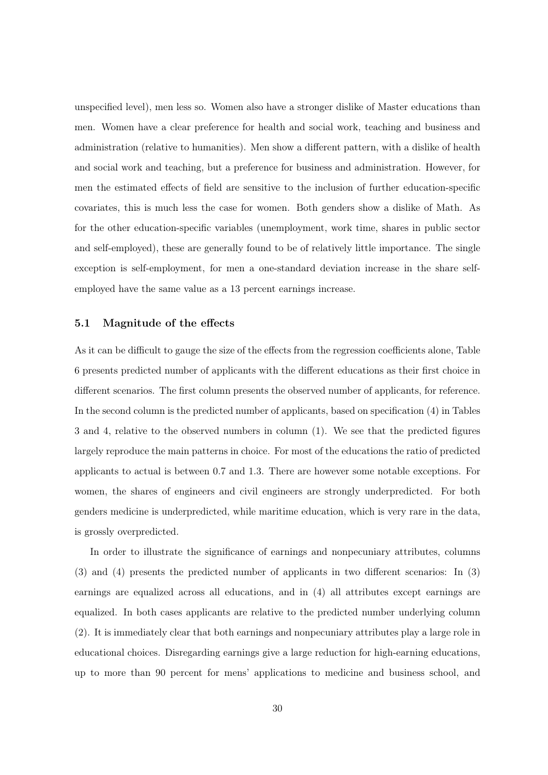unspecified level), men less so. Women also have a stronger dislike of Master educations than men. Women have a clear preference for health and social work, teaching and business and administration (relative to humanities). Men show a different pattern, with a dislike of health and social work and teaching, but a preference for business and administration. However, for men the estimated effects of field are sensitive to the inclusion of further education-specific covariates, this is much less the case for women. Both genders show a dislike of Math. As for the other education-specific variables (unemployment, work time, shares in public sector and self-employed), these are generally found to be of relatively little importance. The single exception is self-employment, for men a one-standard deviation increase in the share selfemployed have the same value as a 13 percent earnings increase.

#### 5.1 Magnitude of the effects

As it can be difficult to gauge the size of the effects from the regression coefficients alone, Table 6 presents predicted number of applicants with the different educations as their first choice in different scenarios. The first column presents the observed number of applicants, for reference. In the second column is the predicted number of applicants, based on specification (4) in Tables 3 and 4, relative to the observed numbers in column (1). We see that the predicted figures largely reproduce the main patterns in choice. For most of the educations the ratio of predicted applicants to actual is between 0.7 and 1.3. There are however some notable exceptions. For women, the shares of engineers and civil engineers are strongly underpredicted. For both genders medicine is underpredicted, while maritime education, which is very rare in the data, is grossly overpredicted.

In order to illustrate the significance of earnings and nonpecuniary attributes, columns (3) and (4) presents the predicted number of applicants in two different scenarios: In (3) earnings are equalized across all educations, and in (4) all attributes except earnings are equalized. In both cases applicants are relative to the predicted number underlying column (2). It is immediately clear that both earnings and nonpecuniary attributes play a large role in educational choices. Disregarding earnings give a large reduction for high-earning educations, up to more than 90 percent for mens' applications to medicine and business school, and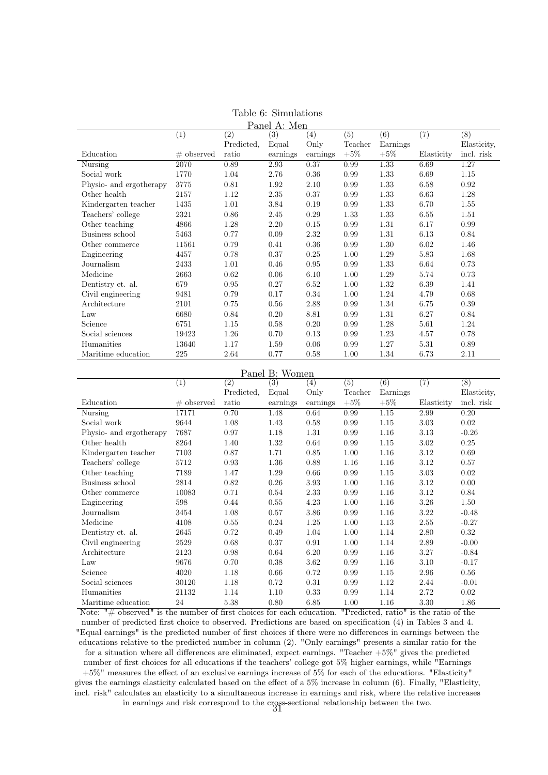| Panel A: Men            |               |            |          |                   |         |          |            |             |
|-------------------------|---------------|------------|----------|-------------------|---------|----------|------------|-------------|
|                         | (1)           | (2)        | (3)      | $\left( 4\right)$ | (5)     | (6)      | (7)        | (8)         |
|                         |               | Predicted, | Equal    | Only              | Teacher | Earnings |            | Elasticity, |
| Education               | $\#$ observed | ratio      | earnings | earnings          | $+5\%$  | $+5\%$   | Elasticity | incl. risk  |
| Nursing                 | 2070          | 0.89       | 2.93     | 0.37              | 0.99    | 1.33     | 6.69       | 1.27        |
| Social work             | 1770          | 1.04       | 2.76     | 0.36              | 0.99    | 1.33     | 6.69       | 1.15        |
| Physio- and ergotherapy | 3775          | 0.81       | 1.92     | 2.10              | 0.99    | 1.33     | 6.58       | 0.92        |
| Other health            | 2157          | 1.12       | 2.35     | 0.37              | 0.99    | 1.33     | 6.63       | 1.28        |
| Kindergarten teacher    | 1435          | 1.01       | 3.84     | 0.19              | 0.99    | 1.33     | 6.70       | 1.55        |
| Teachers' college       | 2321          | 0.86       | 2.45     | 0.29              | 1.33    | 1.33     | 6.55       | 1.51        |
| Other teaching          | 4866          | 1.28       | 2.20     | 0.15              | 0.99    | 1.31     | 6.17       | 0.99        |
| Business school         | 5463          | 0.77       | 0.09     | 2.32              | 0.99    | 1.31     | 6.13       | 0.84        |
| Other commerce          | 11561         | 0.79       | 0.41     | 0.36              | 0.99    | 1.30     | 6.02       | 1.46        |
| Engineering             | 4457          | 0.78       | 0.37     | 0.25              | 1.00    | 1.29     | 5.83       | 1.68        |
| Journalism              | 2433          | 1.01       | 0.46     | 0.95              | 0.99    | 1.33     | 6.64       | 0.73        |
| Medicine                | 2663          | 0.62       | 0.06     | 6.10              | 1.00    | 1.29     | 5.74       | 0.73        |
| Dentistry et. al.       | 679           | 0.95       | 0.27     | 6.52              | 1.00    | 1.32     | 6.39       | 1.41        |
| Civil engineering       | 9481          | 0.79       | 0.17     | 0.34              | 1.00    | 1.24     | 4.79       | 0.68        |
| Architecture            | 2101          | 0.75       | 0.56     | 2.88              | 0.99    | 1.34     | 6.75       | 0.39        |
| Law                     | 6680          | 0.84       | 0.20     | 8.81              | 0.99    | 1.31     | 6.27       | 0.84        |
| Science                 | 6751          | 1.15       | 0.58     | 0.20              | 0.99    | 1.28     | 5.61       | 1.24        |
| Social sciences         | 19423         | 1.26       | 0.70     | 0.13              | 0.99    | 1.23     | 4.57       | 0.78        |
| Humanities              | 13640         | 1.17       | 1.59     | 0.06              | 0.99    | 1.27     | 5.31       | 0.89        |
| Maritime education      | 225           | 2.64       | 0.77     | 0.58              | 1.00    | 1.34     | 6.73       | 2.11        |

|  |  | Table 6: Simulations |
|--|--|----------------------|
|  |  |                      |

Panel B: Women

|                         | (1)           | (2)        | (3)      | $\left(4\right)$ | (5)     | (6)      | (7)        | (8)         |
|-------------------------|---------------|------------|----------|------------------|---------|----------|------------|-------------|
|                         |               | Predicted, | Equal    | Only             | Teacher | Earnings |            | Elasticity, |
| Education               | $\#$ observed | ratio      | earnings | earnings         | $+5%$   | $+5\%$   | Elasticity | incl. risk  |
| Nursing                 | 17171         | 0.70       | 1.48     | 0.64             | 0.99    | 1.15     | 2.99       | 0.20        |
| Social work             | 9644          | 1.08       | 1.43     | 0.58             | 0.99    | 1.15     | 3.03       | 0.02        |
| Physio- and ergotherapy | 7687          | 0.97       | 1.18     | 1.31             | 0.99    | 1.16     | 3.13       | $-0.26$     |
| Other health            | 8264          | 1.40       | 1.32     | 0.64             | 0.99    | 1.15     | 3.02       | 0.25        |
| Kindergarten teacher    | 7103          | 0.87       | 1.71     | 0.85             | 1.00    | 1.16     | 3.12       | 0.69        |
| Teachers' college       | 5712          | 0.93       | 1.36     | 0.88             | 1.16    | 1.16     | 3.12       | 0.57        |
| Other teaching          | 7189          | 1.47       | 1.29     | 0.66             | 0.99    | 1.15     | 3.03       | 0.02        |
| Business school         | 2814          | 0.82       | 0.26     | 3.93             | 1.00    | 1.16     | 3.12       | 0.00        |
| Other commerce          | 10083         | 0.71       | 0.54     | 2.33             | 0.99    | 1.16     | 3.12       | 0.84        |
| Engineering             | 598           | 0.44       | 0.55     | 4.23             | 1.00    | 1.16     | 3.26       | 1.50        |
| Journalism              | 3454          | 1.08       | 0.57     | 3.86             | 0.99    | 1.16     | 3.22       | $-0.48$     |
| Medicine                | 4108          | 0.55       | 0.24     | 1.25             | 1.00    | 1.13     | 2.55       | $-0.27$     |
| Dentistry et. al.       | 2645          | 0.72       | 0.49     | 1.04             | 1.00    | 1.14     | 2.80       | 0.32        |
| Civil engineering       | 2529          | 0.68       | 0.37     | 0.91             | 1.00    | 1.14     | 2.89       | $-0.00$     |
| Architecture            | 2123          | 0.98       | 0.64     | 6.20             | 0.99    | 1.16     | 3.27       | $-0.84$     |
| Law                     | 9676          | 0.70       | 0.38     | 3.62             | 0.99    | 1.16     | 3.10       | $-0.17$     |
| Science                 | 4020          | 1.18       | 0.66     | 0.72             | 0.99    | 1.15     | 2.96       | 0.56        |
| Social sciences         | 30120         | 1.18       | 0.72     | 0.31             | 0.99    | 1.12     | 2.44       | $-0.01$     |
| Humanities              | 21132         | 1.14       | 1.10     | 0.33             | 0.99    | 1.14     | 2.72       | 0.02        |
| Maritime education      | 24            | 5.38       | 0.80     | 6.85             | 1.00    | 1.16     | 3.30       | 1.86        |

Note: "# observed" is the number of first choices for each education. "Predicted, ratio" is the ratio of the number of predicted first choice to observed. Predictions are based on specification (4) in Tables 3 and 4. "Equal earnings" is the predicted number of first choices if there were no differences in earnings between the educations relative to the predicted number in column (2). "Only earnings" presents a similar ratio for the for a situation where all differences are eliminated, expect earnings. "Teacher +5%" gives the predicted number of first choices for all educations if the teachers' college got 5% higher earnings, while "Earnings +5%" measures the effect of an exclusive earnings increase of 5% for each of the educations. "Elasticity" gives the earnings elasticity calculated based on the effect of a 5% increase in column (6). Finally, "Elasticity, incl. risk" calculates an elasticity to a simultaneous increase in earnings and risk, where the relative increases in earnings and risk correspond to the cross-sectional relationship between the two. <sup>31</sup>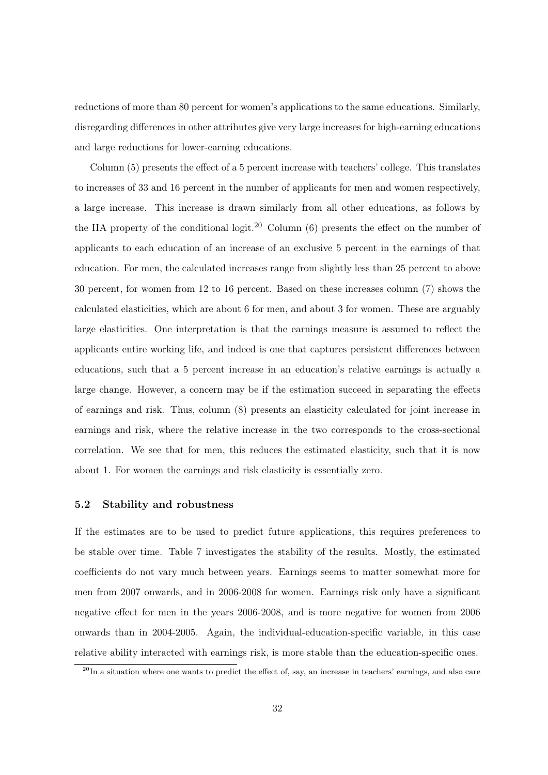reductions of more than 80 percent for women's applications to the same educations. Similarly, disregarding differences in other attributes give very large increases for high-earning educations and large reductions for lower-earning educations.

Column (5) presents the effect of a 5 percent increase with teachers' college. This translates to increases of 33 and 16 percent in the number of applicants for men and women respectively, a large increase. This increase is drawn similarly from all other educations, as follows by the IIA property of the conditional logit.<sup>20</sup> Column  $(6)$  presents the effect on the number of applicants to each education of an increase of an exclusive 5 percent in the earnings of that education. For men, the calculated increases range from slightly less than 25 percent to above 30 percent, for women from 12 to 16 percent. Based on these increases column (7) shows the calculated elasticities, which are about 6 for men, and about 3 for women. These are arguably large elasticities. One interpretation is that the earnings measure is assumed to reflect the applicants entire working life, and indeed is one that captures persistent differences between educations, such that a 5 percent increase in an education's relative earnings is actually a large change. However, a concern may be if the estimation succeed in separating the effects of earnings and risk. Thus, column (8) presents an elasticity calculated for joint increase in earnings and risk, where the relative increase in the two corresponds to the cross-sectional correlation. We see that for men, this reduces the estimated elasticity, such that it is now about 1. For women the earnings and risk elasticity is essentially zero.

#### 5.2 Stability and robustness

If the estimates are to be used to predict future applications, this requires preferences to be stable over time. Table 7 investigates the stability of the results. Mostly, the estimated coefficients do not vary much between years. Earnings seems to matter somewhat more for men from 2007 onwards, and in 2006-2008 for women. Earnings risk only have a significant negative effect for men in the years 2006-2008, and is more negative for women from 2006 onwards than in 2004-2005. Again, the individual-education-specific variable, in this case relative ability interacted with earnings risk, is more stable than the education-specific ones.

 $^{20}$ In a situation where one wants to predict the effect of, say, an increase in teachers' earnings, and also care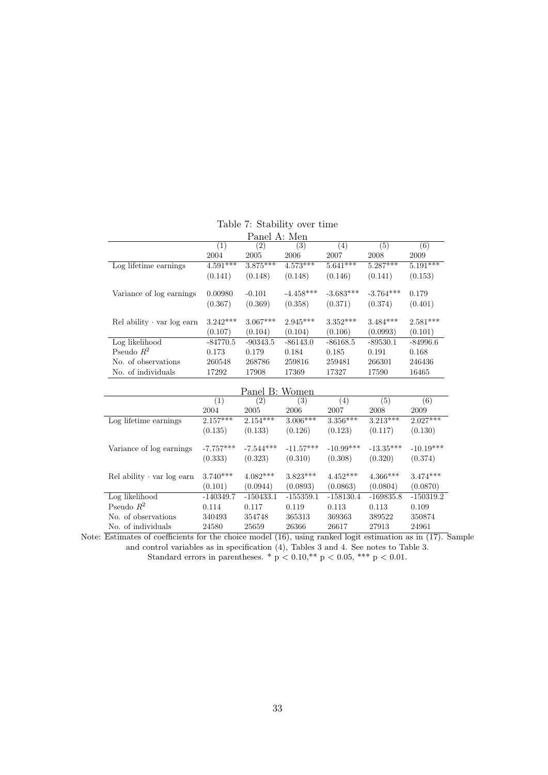|                                    |                  | Panel A: Men   |             |             |                  |                  |
|------------------------------------|------------------|----------------|-------------|-------------|------------------|------------------|
|                                    | $\overline{(1)}$ | (2)            | (3)         | (4)         | (5)              | $\overline{(6)}$ |
|                                    | 2004             | 2005           | 2006        | 2007        | 2008             | 2009             |
| Log lifetime earnings              | $4.591***$       | $3.875***$     | $4.573***$  | $5.641***$  | $5.287***$       | $5.191***$       |
|                                    | (0.141)          | (0.148)        | (0.148)     | (0.146)     | (0.141)          | (0.153)          |
| Variance of log earnings           | 0.00980          | $-0.101$       | $-4.458***$ | $-3.683***$ | $-3.764***$      | 0.179            |
|                                    | (0.367)          | (0.369)        | (0.358)     | (0.371)     | (0.374)          | (0.401)          |
| $Rel$ ability $\cdot$ var log earn | $3.242***$       | $3.067***$     | $2.945***$  | $3.352***$  | $3.484***$       | $2.581***$       |
|                                    | (0.107)          | (0.104)        | (0.104)     | (0.106)     | (0.0993)         | (0.101)          |
| Log likelihood                     | $-84770.5$       | $-90343.5$     | $-86143.0$  | $-86168.5$  | $-89530.1$       | $-84996.6$       |
| Pseudo $R^2$                       | 0.173            | 0.179          | 0.184       | 0.185       | 0.191            | 0.168            |
| No. of observations                | 260548           | 268786         | 259816      | 259481      | 266301           | 246436           |
| No. of individuals                 | 17292            | 17908          | 17369       | 17327       | 17590            | 16465            |
|                                    |                  | Panel B: Women |             |             |                  |                  |
|                                    | $\overline{(1)}$ | (2)            | (3)         | (4)         | $\overline{(5)}$ | $\overline{(6)}$ |
|                                    | 2004             | 2005           | 2006        | 2007        | 2008             | 2009             |
| Log lifetime earnings              | $2.157***$       | $2.154***$     | $3.006***$  | $3.356***$  | $3.213***$       | $2.027***$       |
|                                    | (0.135)          | (0.133)        | (0.126)     | (0.123)     | (0.117)          | (0.130)          |
| Variance of log earnings           | $-7.757***$      | $-7.544***$    | $-11.57***$ | $-10.99***$ | $-13.35***$      | $-10.19***$      |
|                                    | (0.333)          | (0.323)        | (0.310)     | (0.308)     | (0.320)          | (0.374)          |
| $Rel$ ability $\cdot$ var log earn | $3.740***$       | $4.082***$     | $3.823***$  | $4.452***$  | $4.366***$       | $3.474***$       |
|                                    | (0.101)          | (0.0944)       | (0.0893)    | (0.0863)    | (0.0804)         | (0.0870)         |
| Log likelihood                     | $-140349.7$      | $-150433.1$    | $-155359.1$ | $-158130.4$ | $-169835.8$      | $-150319.2$      |
| Pseudo $R^2$                       | 0.114            | 0.117          | 0.119       | 0.113       | 0.113            | 0.109            |
| No. of observations                | 340493           | 354748         | 365313      | 369363      | 389522           | 350874           |
| No. of individuals                 | 24580            | 25659          | 26366       | 26617       | 27913            | 24961            |

Table 7: Stability over time

Note: Estimates of coefficients for the choice model (16), using ranked logit estimation as in (17). Sample and control variables as in specification (4), Tables 3 and 4. See notes to Table 3. Standard errors in parentheses. \*  $p < 0.10$ , \*\*  $p < 0.05$ , \*\*\*  $p < 0.01$ .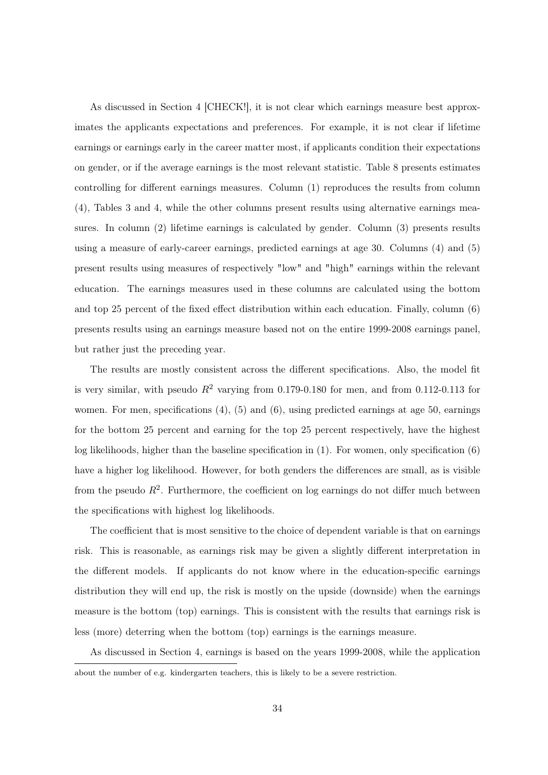As discussed in Section 4 [CHECK!], it is not clear which earnings measure best approximates the applicants expectations and preferences. For example, it is not clear if lifetime earnings or earnings early in the career matter most, if applicants condition their expectations on gender, or if the average earnings is the most relevant statistic. Table 8 presents estimates controlling for different earnings measures. Column (1) reproduces the results from column (4), Tables 3 and 4, while the other columns present results using alternative earnings measures. In column (2) lifetime earnings is calculated by gender. Column (3) presents results using a measure of early-career earnings, predicted earnings at age 30. Columns (4) and (5) present results using measures of respectively "low" and "high" earnings within the relevant education. The earnings measures used in these columns are calculated using the bottom and top 25 percent of the fixed effect distribution within each education. Finally, column (6) presents results using an earnings measure based not on the entire 1999-2008 earnings panel, but rather just the preceding year.

The results are mostly consistent across the different specifications. Also, the model fit is very similar, with pseudo  $R^2$  varying from 0.179-0.180 for men, and from 0.112-0.113 for women. For men, specifications  $(4)$ ,  $(5)$  and  $(6)$ , using predicted earnings at age 50, earnings for the bottom 25 percent and earning for the top 25 percent respectively, have the highest log likelihoods, higher than the baseline specification in (1). For women, only specification (6) have a higher log likelihood. However, for both genders the differences are small, as is visible from the pseudo  $R^2$ . Furthermore, the coefficient on log earnings do not differ much between the specifications with highest log likelihoods.

The coefficient that is most sensitive to the choice of dependent variable is that on earnings risk. This is reasonable, as earnings risk may be given a slightly different interpretation in the different models. If applicants do not know where in the education-specific earnings distribution they will end up, the risk is mostly on the upside (downside) when the earnings measure is the bottom (top) earnings. This is consistent with the results that earnings risk is less (more) deterring when the bottom (top) earnings is the earnings measure.

As discussed in Section 4, earnings is based on the years 1999-2008, while the application about the number of e.g. kindergarten teachers, this is likely to be a severe restriction.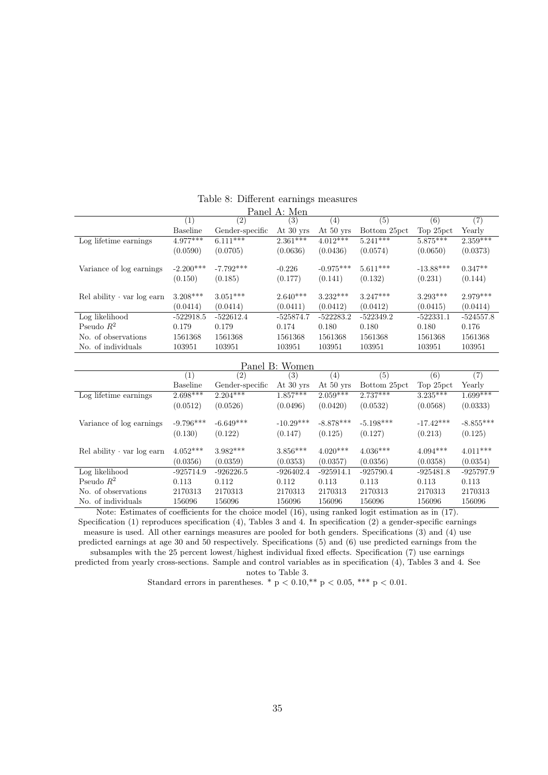| Panel A: Men                       |                 |                       |             |             |              |             |             |  |
|------------------------------------|-----------------|-----------------------|-------------|-------------|--------------|-------------|-------------|--|
|                                    | $_{(1)}$        | (2)                   | (3)         | (4)         | (5)          | (6)         | (7)         |  |
|                                    | <b>Baseline</b> | Gender-specific       | At 30 yrs   | At 50 yrs   | Bottom 25pct | Top 25pct   | Yearly      |  |
| Log lifetime earnings              | $4.977***$      | $6.1\overline{11***}$ | $2.361***$  | $4.012***$  | $5.241***$   | $5.875***$  | $2.359***$  |  |
|                                    | (0.0590)        | (0.0705)              | (0.0636)    | (0.0436)    | (0.0574)     | (0.0650)    | (0.0373)    |  |
|                                    |                 |                       |             |             |              |             |             |  |
| Variance of log earnings           | $-2.200***$     | $-7.792***$           | $-0.226$    | $-0.975***$ | $5.611***$   | $-13.88***$ | $0.347**$   |  |
|                                    | (0.150)         | (0.185)               | (0.177)     | (0.141)     | (0.132)      | (0.231)     | (0.144)     |  |
| $Rel$ ability $\cdot$ var log earn | $3.208***$      | $3.051***$            | $2.640***$  | $3.232***$  | $3.247***$   | $3.293***$  | $2.979***$  |  |
|                                    | (0.0414)        | (0.0414)              | (0.0411)    | (0.0412)    | (0.0412)     | (0.0415)    | (0.0414)    |  |
| Log likelihood                     | $-522918.5$     | $-522612.4$           | $-525874.7$ | $-522283.2$ | $-522349.2$  | $-522331.1$ | $-524557.8$ |  |
| Pseudo $R^2$                       | 0.179           | 0.179                 | 0.174       | 0.180       | 0.180        | 0.180       | 0.176       |  |
| No. of observations                | 1561368         | 1561368               | 1561368     | 1561368     | 1561368      | 1561368     | 1561368     |  |
| No. of individuals                 | 103951          | 103951                | 103951      | 103951      | 103951       | 103951      | 103951      |  |

#### Table 8: Different earnings measures  $-1$  A: Mener

| Panel B: Women                     |             |                   |             |             |              |             |             |  |
|------------------------------------|-------------|-------------------|-------------|-------------|--------------|-------------|-------------|--|
|                                    | (1)         | $\left( 2\right)$ | (3)         | (4)         | (5)          | (6)         | (7)         |  |
|                                    | Baseline    | Gender-specific   | At 30 yrs   | At $50$ yrs | Bottom 25pct | Top 25pct   | Yearly      |  |
| Log lifetime earnings              | $2.698***$  | $2.204***$        | $1.857***$  | $2.059***$  | $2.737***$   | $3.235***$  | $1.699***$  |  |
|                                    | (0.0512)    | (0.0526)          | (0.0496)    | (0.0420)    | (0.0532)     | (0.0568)    | (0.0333)    |  |
| Variance of log earnings           | $-9.796***$ | $-6.649***$       | $-10.29***$ | $-8.878***$ | $-5.198***$  | $-17.42***$ | $-8.855***$ |  |
|                                    | (0.130)     | (0.122)           | (0.147)     | (0.125)     | (0.127)      | (0.213)     | (0.125)     |  |
| $Rel$ ability $\cdot$ var log earn | $4.052***$  | $3.982***$        | $3.856***$  | $4.020***$  | $4.036***$   | $4.094***$  | $4.011***$  |  |
|                                    | (0.0356)    | (0.0359)          | (0.0353)    | (0.0357)    | (0.0356)     | (0.0358)    | (0.0354)    |  |
| Log likelihood                     | $-925714.9$ | $-926226.5$       | $-926402.4$ | $-925914.1$ | $-925790.4$  | $-925481.8$ | $-925797.9$ |  |
| Pseudo $R^2$                       | 0.113       | 0.112             | 0.112       | 0.113       | 0.113        | 0.113       | 0.113       |  |
| No. of observations                | 2170313     | 2170313           | 2170313     | 2170313     | 2170313      | 2170313     | 2170313     |  |
| No. of individuals                 | 156096      | 156096            | 156096      | 156096      | 156096       | 156096      | 156096      |  |

Note: Estimates of coefficients for the choice model (16), using ranked logit estimation as in (17). Specification (1) reproduces specification (4), Tables 3 and 4. In specification (2) a gender-specific earnings measure is used. All other earnings measures are pooled for both genders. Specifications (3) and (4) use predicted earnings at age 30 and 50 respectively. Specifications (5) and (6) use predicted earnings from the subsamples with the 25 percent lowest/highest individual fixed effects. Specification (7) use earnings predicted from yearly cross-sections. Sample and control variables as in specification (4), Tables 3 and 4. See

notes to Table 3.

Standard errors in parentheses. \* p < 0.10,\*\* p < 0.05, \*\*\* p < 0.01.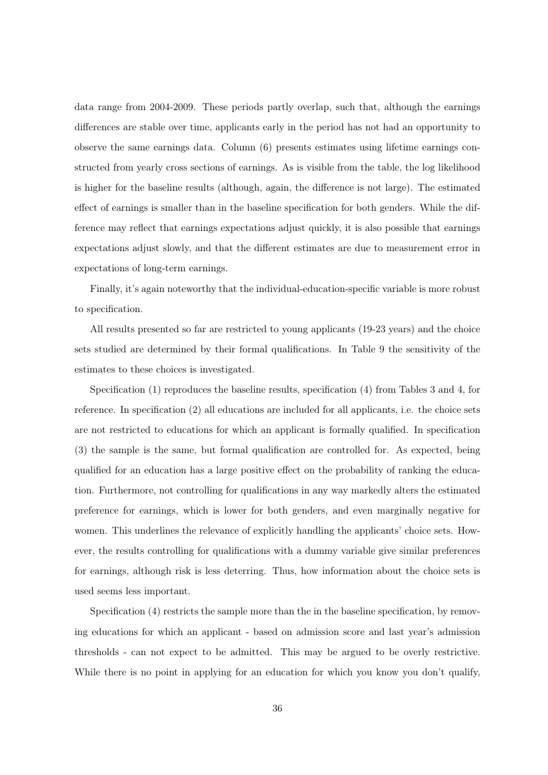data range from 2004-2009. These periods partly overlap, such that, although the earnings differences are stable over time, applicants early in the period has not had an opportunity to observe the same earnings data. Column (6) presents estimates using lifetime earnings constructed from yearly cross sections of earnings. As is visible from the table, the log likelihood is higher for the baseline results (although, again, the difference is not large). The estimated effect of earnings is smaller than in the baseline specification for both genders. While the difference may reflect that earnings expectations adjust quickly, it is also possible that earnings expectations adjust slowly, and that the different estimates are due to measurement error in expectations of long-term earnings.

Finally, it's again noteworthy that the individual-education-specific variable is more robust to specification.

All results presented so far are restricted to young applicants (19-23 years) and the choice sets studied are determined by their formal qualifications. In Table 9 the sensitivity of the estimates to these choices is investigated.

Specification (1) reproduces the baseline results, specification (4) from Tables 3 and 4, for reference. In specification (2) all educations are included for all applicants, i.e. the choice sets are not restricted to educations for which an applicant is formally qualified. In specification (3) the sample is the same, but formal qualification are controlled for. As expected, being qualified for an education has a large positive effect on the probability of ranking the education. Furthermore, not controlling for qualifications in any way markedly alters the estimated preference for earnings, which is lower for both genders, and even marginally negative for women. This underlines the relevance of explicitly handling the applicants' choice sets. However, the results controlling for qualifications with a dummy variable give similar preferences for earnings, although risk is less deterring. Thus, how information about the choice sets is used seems less important.

Specification (4) restricts the sample more than the in the baseline specification, by removing educations for which an applicant - based on admission score and last year's admission thresholds - can not expect to be admitted. This may be argued to be overly restrictive. While there is no point in applying for an education for which you know you don't qualify,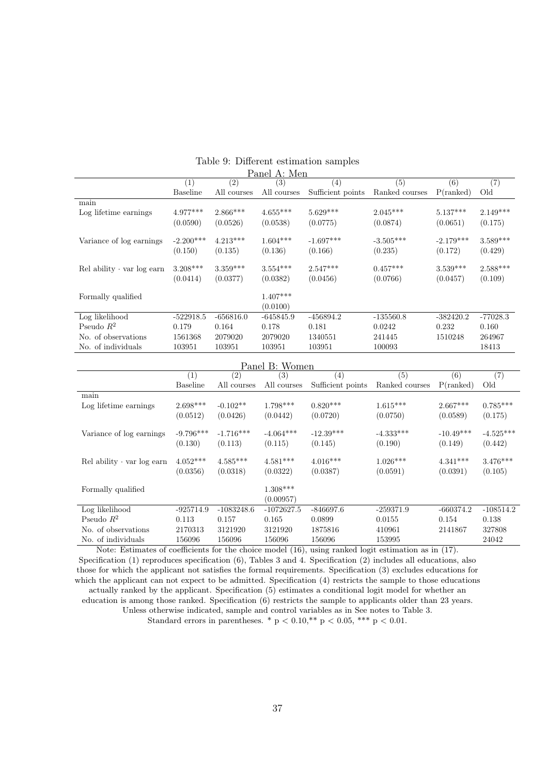|                                    |                   |                   | ғанен ді мен                |                   |                |              |            |
|------------------------------------|-------------------|-------------------|-----------------------------|-------------------|----------------|--------------|------------|
|                                    | $\left( 1\right)$ | $\left( 2\right)$ | (3)                         | $\left( 4\right)$ | (5)            | (6)          | (7)        |
|                                    | Baseline          | All courses       | All courses                 | Sufficient points | Ranked courses | $P$ (ranked) | Old        |
| main                               |                   |                   |                             |                   |                |              |            |
| Log lifetime earnings              | $4.977***$        | $2.866***$        | $4.655***$                  | $5.629***$        | $2.045***$     | $5.137***$   | $2.149***$ |
|                                    | (0.0590)          | (0.0526)          | (0.0538)                    | (0.0775)          | (0.0874)       | (0.0651)     | (0.175)    |
| Variance of log earnings           | $-2.200***$       | $4.213***$        | $1.604***$                  | $-1.697***$       | $-3.505***$    | $-2.179***$  | $3.589***$ |
|                                    | (0.150)           | (0.135)           | (0.136)                     | (0.166)           | (0.235)        | (0.172)      | (0.429)    |
| $Rel$ ability $\cdot$ var log earn | $3.208***$        | $3.359***$        | $3.554***$                  | $2.547***$        | $0.457***$     | $3.539***$   | $2.588***$ |
|                                    | (0.0414)          | (0.0377)          | (0.0382)                    | (0.0456)          | (0.0766)       | (0.0457)     | (0.109)    |
| Formally qualified                 |                   |                   | $1.407***$                  |                   |                |              |            |
|                                    |                   |                   | (0.0100)                    |                   |                |              |            |
| Log likelihood                     | $-522918.5$       | $-656816.0$       | $-645845.9$                 | $-456894.2$       | $-135560.8$    | $-382420.2$  | $-77028.3$ |
| Pseudo $R^2$                       | 0.179             | 0.164             | 0.178                       | 0.181             | 0.0242         | 0.232        | 0.160      |
| No. of observations                | 1561368           | 2079020           | 2079020                     | 1340551           | 241445         | 1510248      | 264967     |
| No. of individuals                 | 103951            | 103951            | 103951                      | 103951            | 100093         |              | 18413      |
|                                    |                   | $\mathbf{L}$      | $1 \nabla \cdot \mathbf{1}$ |                   |                |              |            |

#### Table 9: Different estimation samples Panel A: Men

| Panel B: Women                     |                   |                  |              |                   |                |              |             |
|------------------------------------|-------------------|------------------|--------------|-------------------|----------------|--------------|-------------|
|                                    | $\left( 1\right)$ | $\overline{(2)}$ | (3)          | (4)               | (5)            | (6)          | (7)         |
|                                    | <b>Baseline</b>   | All courses      | All courses  | Sufficient points | Ranked courses | $P$ (ranked) | Old         |
| main                               |                   |                  |              |                   |                |              |             |
| Log lifetime earnings              | $2.698***$        | $-0.102**$       | $1.798***$   | $0.820***$        | $1.615***$     | $2.667***$   | $0.785***$  |
|                                    | (0.0512)          | (0.0426)         | (0.0442)     | (0.0720)          | (0.0750)       | (0.0589)     | (0.175)     |
| Variance of log earnings           | $-9.796***$       | $-1.716***$      | $-4.064***$  | $-12.39***$       | $-4.333***$    | $-10.49***$  | $-4.525***$ |
|                                    | (0.130)           | (0.113)          | (0.115)      | (0.145)           | (0.190)        | (0.149)      | (0.442)     |
| $Rel$ ability $\cdot$ var log earn | $4.052***$        | $4.585***$       | $4.581***$   | $4.016***$        | $1.026***$     | $4.341***$   | $3.476***$  |
|                                    | (0.0356)          | (0.0318)         | (0.0322)     | (0.0387)          | (0.0591)       | (0.0391)     | (0.105)     |
| Formally qualified                 |                   |                  | $1.308***$   |                   |                |              |             |
|                                    |                   |                  | (0.00957)    |                   |                |              |             |
| Log likelihood                     | $-925714.9$       | $-1083248.6$     | $-1072627.5$ | $-846697.6$       | $-259371.9$    | $-660374.2$  | $-108514.2$ |
| Pseudo $R^2$                       | 0.113             | 0.157            | 0.165        | 0.0899            | 0.0155         | 0.154        | 0.138       |
| No. of observations                | 2170313           | 3121920          | 3121920      | 1875816           | 410961         | 2141867      | 327808      |
| No. of individuals                 | 156096            | 156096           | 156096       | 156096            | 153995         |              | 24042       |

Note: Estimates of coefficients for the choice model (16), using ranked logit estimation as in (17). Specification (1) reproduces specification (6), Tables 3 and 4. Specification (2) includes all educations, also those for which the applicant not satisfies the formal requirements. Specification (3) excludes educations for which the applicant can not expect to be admitted. Specification (4) restricts the sample to those educations actually ranked by the applicant. Specification (5) estimates a conditional logit model for whether an education is among those ranked. Specification (6) restricts the sample to applicants older than 23 years. Unless otherwise indicated, sample and control variables as in See notes to Table 3. Standard errors in parentheses. \*  $p < 0.10$ , \*\*  $p < 0.05$ , \*\*\*  $p < 0.01$ .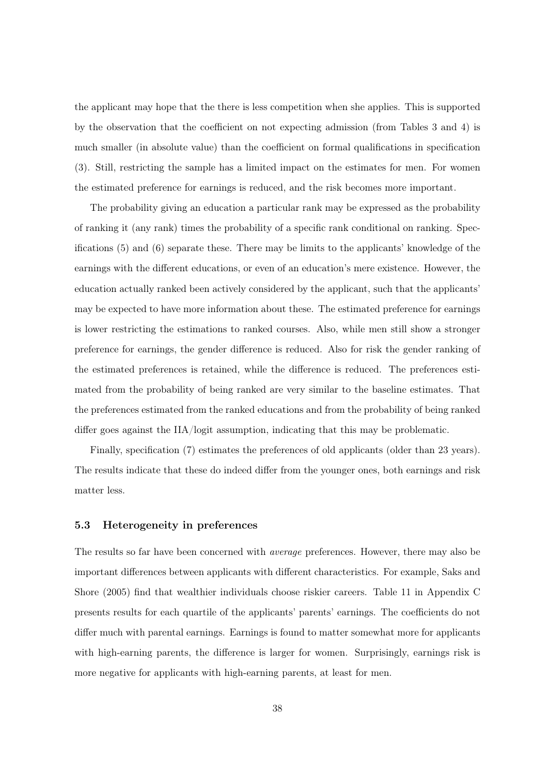the applicant may hope that the there is less competition when she applies. This is supported by the observation that the coefficient on not expecting admission (from Tables 3 and 4) is much smaller (in absolute value) than the coefficient on formal qualifications in specification (3). Still, restricting the sample has a limited impact on the estimates for men. For women the estimated preference for earnings is reduced, and the risk becomes more important.

The probability giving an education a particular rank may be expressed as the probability of ranking it (any rank) times the probability of a specific rank conditional on ranking. Specifications (5) and (6) separate these. There may be limits to the applicants' knowledge of the earnings with the different educations, or even of an education's mere existence. However, the education actually ranked been actively considered by the applicant, such that the applicants' may be expected to have more information about these. The estimated preference for earnings is lower restricting the estimations to ranked courses. Also, while men still show a stronger preference for earnings, the gender difference is reduced. Also for risk the gender ranking of the estimated preferences is retained, while the difference is reduced. The preferences estimated from the probability of being ranked are very similar to the baseline estimates. That the preferences estimated from the ranked educations and from the probability of being ranked differ goes against the IIA/logit assumption, indicating that this may be problematic.

Finally, specification (7) estimates the preferences of old applicants (older than 23 years). The results indicate that these do indeed differ from the younger ones, both earnings and risk matter less.

#### 5.3 Heterogeneity in preferences

The results so far have been concerned with average preferences. However, there may also be important differences between applicants with different characteristics. For example, Saks and Shore (2005) find that wealthier individuals choose riskier careers. Table 11 in Appendix C presents results for each quartile of the applicants' parents' earnings. The coefficients do not differ much with parental earnings. Earnings is found to matter somewhat more for applicants with high-earning parents, the difference is larger for women. Surprisingly, earnings risk is more negative for applicants with high-earning parents, at least for men.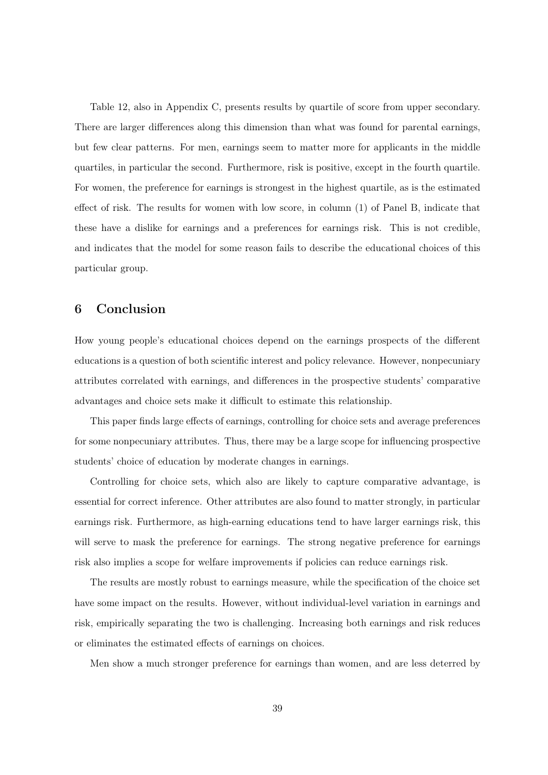Table 12, also in Appendix C, presents results by quartile of score from upper secondary. There are larger differences along this dimension than what was found for parental earnings, but few clear patterns. For men, earnings seem to matter more for applicants in the middle quartiles, in particular the second. Furthermore, risk is positive, except in the fourth quartile. For women, the preference for earnings is strongest in the highest quartile, as is the estimated effect of risk. The results for women with low score, in column (1) of Panel B, indicate that these have a dislike for earnings and a preferences for earnings risk. This is not credible, and indicates that the model for some reason fails to describe the educational choices of this particular group.

## 6 Conclusion

How young people's educational choices depend on the earnings prospects of the different educations is a question of both scientific interest and policy relevance. However, nonpecuniary attributes correlated with earnings, and differences in the prospective students' comparative advantages and choice sets make it difficult to estimate this relationship.

This paper finds large effects of earnings, controlling for choice sets and average preferences for some nonpecuniary attributes. Thus, there may be a large scope for influencing prospective students' choice of education by moderate changes in earnings.

Controlling for choice sets, which also are likely to capture comparative advantage, is essential for correct inference. Other attributes are also found to matter strongly, in particular earnings risk. Furthermore, as high-earning educations tend to have larger earnings risk, this will serve to mask the preference for earnings. The strong negative preference for earnings risk also implies a scope for welfare improvements if policies can reduce earnings risk.

The results are mostly robust to earnings measure, while the specification of the choice set have some impact on the results. However, without individual-level variation in earnings and risk, empirically separating the two is challenging. Increasing both earnings and risk reduces or eliminates the estimated effects of earnings on choices.

Men show a much stronger preference for earnings than women, and are less deterred by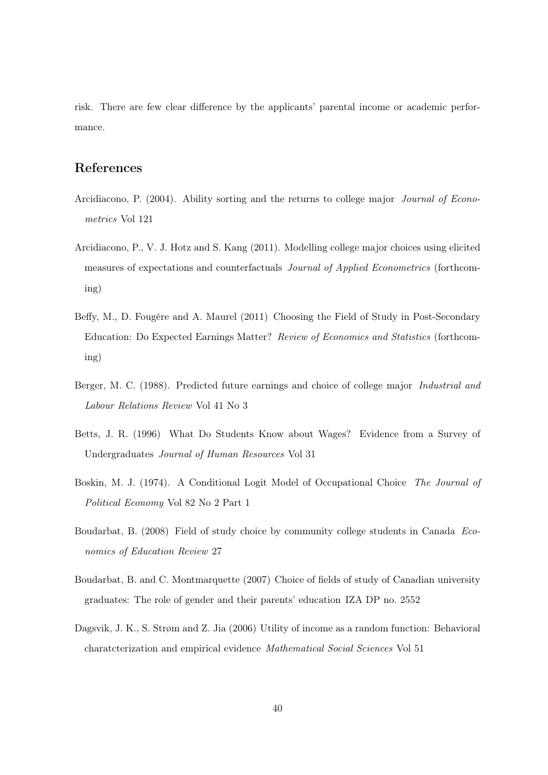risk. There are few clear difference by the applicants' parental income or academic performance.

## References

- Arcidiacono, P. (2004). Ability sorting and the returns to college major Journal of Econometrics Vol 121
- Arcidiacono, P., V. J. Hotz and S. Kang (2011). Modelling college major choices using elicited measures of expectations and counterfactuals Journal of Applied Econometrics (forthcoming)
- Beffy, M., D. Fougére and A. Maurel (2011) Choosing the Field of Study in Post-Secondary Education: Do Expected Earnings Matter? Review of Economics and Statistics (forthcoming)
- Berger, M. C. (1988). Predicted future earnings and choice of college major Industrial and Labour Relations Review Vol 41 No 3
- Betts, J. R. (1996) What Do Students Know about Wages? Evidence from a Survey of Undergraduates Journal of Human Resources Vol 31
- Boskin, M. J. (1974). A Conditional Logit Model of Occupational Choice The Journal of Political Economy Vol 82 No 2 Part 1
- Boudarbat, B. (2008) Field of study choice by community college students in Canada Economics of Education Review 27
- Boudarbat, B. and C. Montmarquette (2007) Choice of fields of study of Canadian university graduates: The role of gender and their parents' education IZA DP no. 2552
- Dagsvik, J. K., S. Strøm and Z. Jia (2006) Utility of income as a random function: Behavioral charatcterization and empirical evidence Mathematical Social Sciences Vol 51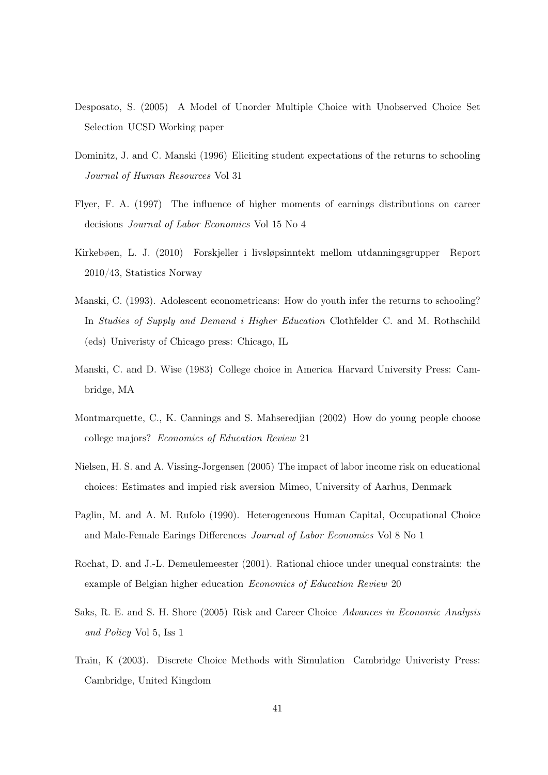- Desposato, S. (2005) A Model of Unorder Multiple Choice with Unobserved Choice Set Selection UCSD Working paper
- Dominitz, J. and C. Manski (1996) Eliciting student expectations of the returns to schooling Journal of Human Resources Vol 31
- Flyer, F. A. (1997) The influence of higher moments of earnings distributions on career decisions Journal of Labor Economics Vol 15 No 4
- Kirkebøen, L. J. (2010) Forskjeller i livsløpsinntekt mellom utdanningsgrupper Report 2010/43, Statistics Norway
- Manski, C. (1993). Adolescent econometricans: How do youth infer the returns to schooling? In Studies of Supply and Demand i Higher Education Clothfelder C. and M. Rothschild (eds) Univeristy of Chicago press: Chicago, IL
- Manski, C. and D. Wise (1983) College choice in America Harvard University Press: Cambridge, MA
- Montmarquette, C., K. Cannings and S. Mahseredjian (2002) How do young people choose college majors? Economics of Education Review 21
- Nielsen, H. S. and A. Vissing-Jorgensen (2005) The impact of labor income risk on educational choices: Estimates and impied risk aversion Mimeo, University of Aarhus, Denmark
- Paglin, M. and A. M. Rufolo (1990). Heterogeneous Human Capital, Occupational Choice and Male-Female Earings Differences Journal of Labor Economics Vol 8 No 1
- Rochat, D. and J.-L. Demeulemeester (2001). Rational chioce under unequal constraints: the example of Belgian higher education Economics of Education Review 20
- Saks, R. E. and S. H. Shore (2005) Risk and Career Choice Advances in Economic Analysis and Policy Vol 5, Iss 1
- Train, K (2003). Discrete Choice Methods with Simulation Cambridge Univeristy Press: Cambridge, United Kingdom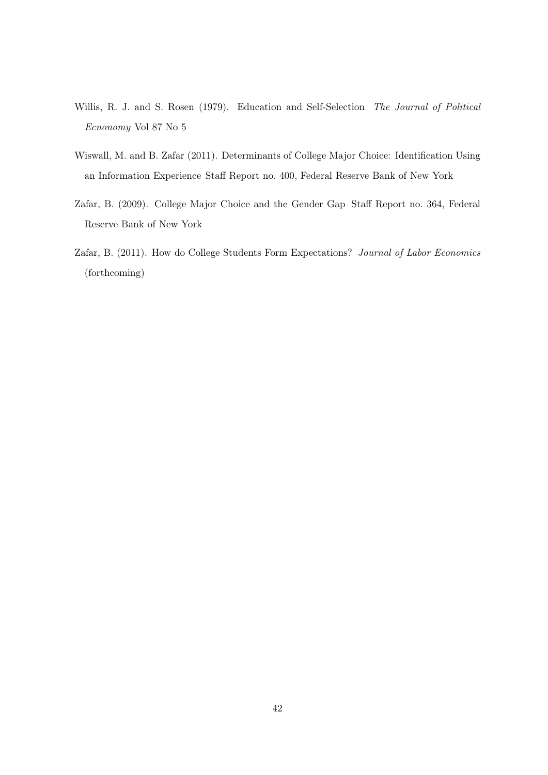- Willis, R. J. and S. Rosen (1979). Education and Self-Selection The Journal of Political Ecnonomy Vol 87 No 5
- Wiswall, M. and B. Zafar (2011). Determinants of College Major Choice: Identification Using an Information Experience Staff Report no. 400, Federal Reserve Bank of New York
- Zafar, B. (2009). College Major Choice and the Gender Gap Staff Report no. 364, Federal Reserve Bank of New York
- Zafar, B. (2011). How do College Students Form Expectations? Journal of Labor Economics (forthcoming)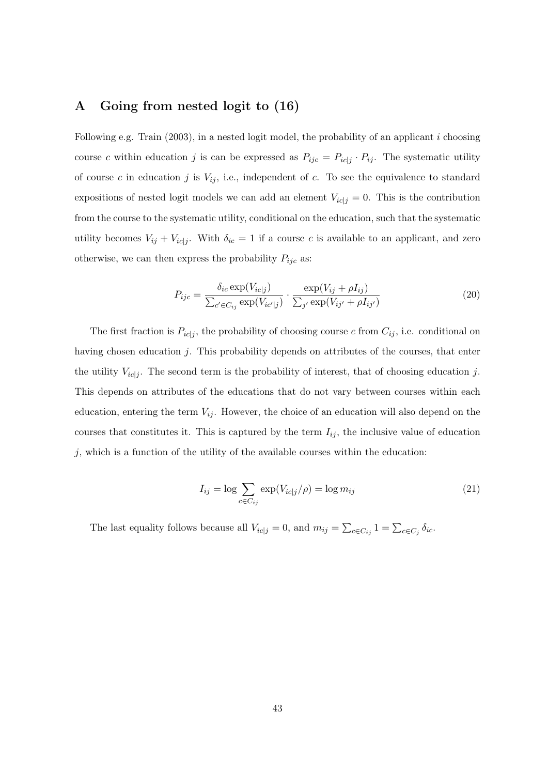## A Going from nested logit to (16)

Following e.g. Train  $(2003)$ , in a nested logit model, the probability of an applicant i choosing course c within education j is can be expressed as  $P_{ijc} = P_{ic|j} \cdot P_{ij}$ . The systematic utility of course c in education j is  $V_{ij}$ , i.e., independent of c. To see the equivalence to standard expositions of nested logit models we can add an element  $V_{ic|j} = 0$ . This is the contribution from the course to the systematic utility, conditional on the education, such that the systematic utility becomes  $V_{ij} + V_{ic|j}$ . With  $\delta_{ic} = 1$  if a course c is available to an applicant, and zero otherwise, we can then express the probability  $P_{ijc}$  as:

$$
P_{ijc} = \frac{\delta_{ic} \exp(V_{ic|j})}{\sum_{c' \in C_{ij}} \exp(V_{ic'|j})} \cdot \frac{\exp(V_{ij} + \rho I_{ij})}{\sum_{j'} \exp(V_{ij'} + \rho I_{ij'})}
$$
(20)

The first fraction is  $P_{ic|j}$ , the probability of choosing course c from  $C_{ij}$ , i.e. conditional on having chosen education j. This probability depends on attributes of the courses, that enter the utility  $V_{ic}|j$ . The second term is the probability of interest, that of choosing education j. This depends on attributes of the educations that do not vary between courses within each education, entering the term  $V_{ij}$ . However, the choice of an education will also depend on the courses that constitutes it. This is captured by the term  $I_{ij}$ , the inclusive value of education  $j$ , which is a function of the utility of the available courses within the education:

$$
I_{ij} = \log \sum_{c \in C_{ij}} \exp(V_{ic|j}/\rho) = \log m_{ij}
$$
\n(21)

The last equality follows because all  $V_{ic,j} = 0$ , and  $m_{ij} = \sum_{c \in C_{ij}} 1 = \sum_{c \in C_j} \delta_{ic}$ .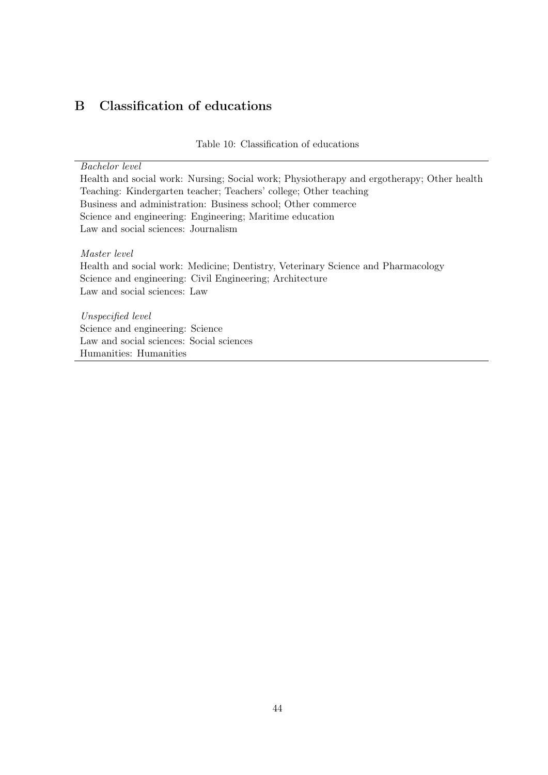## B Classification of educations

Table 10: Classification of educations

Bachelor level

Health and social work: Nursing; Social work; Physiotherapy and ergotherapy; Other health Teaching: Kindergarten teacher; Teachers' college; Other teaching Business and administration: Business school; Other commerce Science and engineering: Engineering; Maritime education Law and social sciences: Journalism

Master level

Health and social work: Medicine; Dentistry, Veterinary Science and Pharmacology Science and engineering: Civil Engineering; Architecture Law and social sciences: Law

Unspecified level Science and engineering: Science Law and social sciences: Social sciences Humanities: Humanities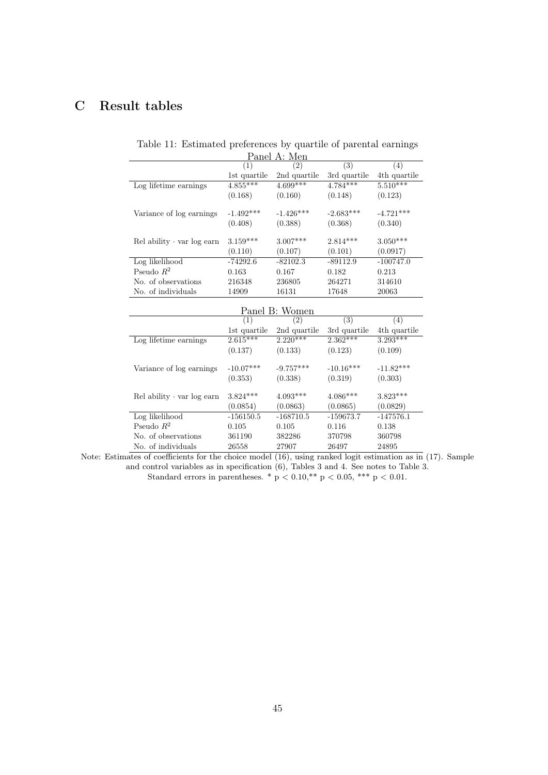## C Result tables

| Panel A: Men                       |              |              |              |              |  |  |
|------------------------------------|--------------|--------------|--------------|--------------|--|--|
|                                    | (1)          | (2)          | (3)          | (4)          |  |  |
|                                    | 1st quartile | 2nd quartile | 3rd quartile | 4th quartile |  |  |
| Log lifetime earnings              | $4.855***$   | $4.699***$   | $4.784***$   | $5.510***$   |  |  |
|                                    | (0.168)      | (0.160)      | (0.148)      | (0.123)      |  |  |
| Variance of log earnings           | $-1.492***$  | $-1.426***$  | $-2.683***$  | $-4.721***$  |  |  |
|                                    | (0.408)      | (0.388)      | (0.368)      | (0.340)      |  |  |
| $Rel$ ability $\cdot$ var log earn | $3.159***$   | $3.007***$   | $2.814***$   | $3.050***$   |  |  |
|                                    | (0.110)      | (0.107)      | (0.101)      | (0.0917)     |  |  |
| Log likelihood                     | $-74292.6$   | $-82102.3$   | $-89112.9$   | $-100747.0$  |  |  |
| Pseudo $R^2$                       | 0.163        | 0.167        | 0.182        | 0.213        |  |  |
| No. of observations                | 216348       | 236805       | 264271       | 314610       |  |  |
| No. of individuals                 | 14909        | 16131        | 17648        | 20063        |  |  |

| Table 11: Estimated preferences by quartile of parental earnings |  |  |  |
|------------------------------------------------------------------|--|--|--|
|------------------------------------------------------------------|--|--|--|

| Panel B: Women                     |              |              |              |              |  |
|------------------------------------|--------------|--------------|--------------|--------------|--|
|                                    | (1)          | (2)          | (3)          | (4)          |  |
|                                    | 1st quartile | 2nd quartile | 3rd quartile | 4th quartile |  |
| Log lifetime earnings              | $2.615***$   | $2.220***$   | $2.362***$   | $3.293***$   |  |
|                                    | (0.137)      | (0.133)      | (0.123)      | (0.109)      |  |
| Variance of log earnings           | $-10.07***$  | $-9.757***$  | $-10.16***$  | $-11.82***$  |  |
|                                    | (0.353)      | (0.338)      | (0.319)      | (0.303)      |  |
| $Rel$ ability $\cdot$ var log earn | $3.824***$   | $4.093***$   | $4.086***$   | $3.823***$   |  |
|                                    | (0.0854)     | (0.0863)     | (0.0865)     | (0.0829)     |  |
| Log likelihood                     | $-156150.5$  | $-168710.5$  | $-159673.7$  | $-147576.1$  |  |
| Pseudo $R^2$                       | 0.105        | 0.105        | 0.116        | 0.138        |  |
| No. of observations                | 361190       | 382286       | 370798       | 360798       |  |
| No. of individuals                 | 26558        | 27907        | 26497        | 24895        |  |

Note: Estimates of coefficients for the choice model (16), using ranked logit estimation as in (17). Sample and control variables as in specification  $(6)$ , Tables 3 and 4. See notes to Table 3. Standard errors in parentheses. \*  $p < 0.10$ , \*\*  $p < 0.05$ , \*\*\*  $p < 0.01$ .